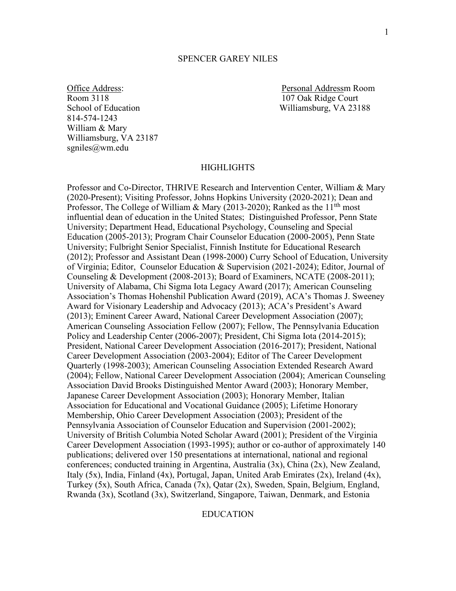#### SPENCER GAREY NILES

School of Education Williamsburg, VA 23188 814-574-1243 William & Mary Williamsburg, VA 23187 sgniles@wm.edu

Office Address:<br>
Room 3118<br>
Room 3118<br>
Personal Addressm Room<br>
107 Oak Ridge Court 107 Oak Ridge Court

#### **HIGHLIGHTS**

Professor and Co-Director, THRIVE Research and Intervention Center, William & Mary (2020-Present); Visiting Professor, Johns Hopkins University (2020-2021); Dean and Professor, The College of William & Mary (2013-2020); Ranked as the  $11<sup>th</sup>$  most influential dean of education in the United States; Distinguished Professor, Penn State University; Department Head, Educational Psychology, Counseling and Special Education (2005-2013); Program Chair Counselor Education (2000-2005), Penn State University; Fulbright Senior Specialist, Finnish Institute for Educational Research (2012); Professor and Assistant Dean (1998-2000) Curry School of Education, University of Virginia; Editor, Counselor Education & Supervision (2021-2024); Editor, Journal of Counseling & Development (2008-2013); Board of Examiners, NCATE (2008-2011); University of Alabama, Chi Sigma Iota Legacy Award (2017); American Counseling Association's Thomas Hohenshil Publication Award (2019), ACA's Thomas J. Sweeney Award for Visionary Leadership and Advocacy (2013); ACA's President's Award (2013); Eminent Career Award, National Career Development Association (2007); American Counseling Association Fellow (2007); Fellow, The Pennsylvania Education Policy and Leadership Center (2006-2007); President, Chi Sigma Iota (2014-2015); President, National Career Development Association (2016-2017); President, National Career Development Association (2003-2004); Editor of The Career Development Quarterly (1998-2003); American Counseling Association Extended Research Award (2004); Fellow, National Career Development Association (2004); American Counseling Association David Brooks Distinguished Mentor Award (2003); Honorary Member, Japanese Career Development Association (2003); Honorary Member, Italian Association for Educational and Vocational Guidance (2005); Lifetime Honorary Membership, Ohio Career Development Association (2003); President of the Pennsylvania Association of Counselor Education and Supervision (2001-2002); University of British Columbia Noted Scholar Award (2001); President of the Virginia Career Development Association (1993-1995); author or co-author of approximately 140 publications; delivered over 150 presentations at international, national and regional conferences; conducted training in Argentina, Australia (3x), China (2x), New Zealand, Italy (5x), India, Finland (4x), Portugal, Japan, United Arab Emirates (2x), Ireland (4x), Turkey (5x), South Africa, Canada (7x), Qatar (2x), Sweden, Spain, Belgium, England, Rwanda (3x), Scotland (3x), Switzerland, Singapore, Taiwan, Denmark, and Estonia

#### EDUCATION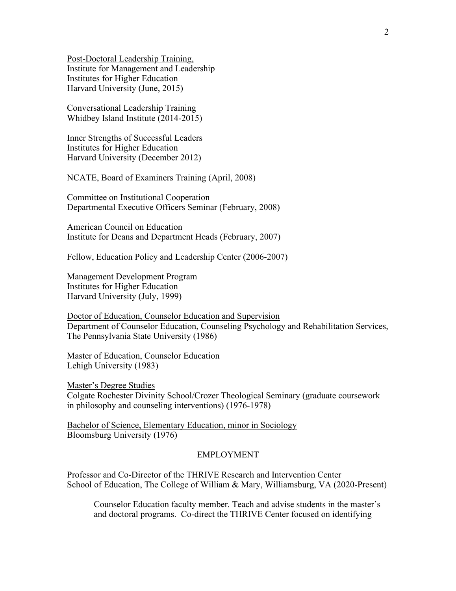Post-Doctoral Leadership Training, Institute for Management and Leadership Institutes for Higher Education Harvard University (June, 2015)

Conversational Leadership Training Whidbey Island Institute (2014-2015)

Inner Strengths of Successful Leaders Institutes for Higher Education Harvard University (December 2012)

NCATE, Board of Examiners Training (April, 2008)

Committee on Institutional Cooperation Departmental Executive Officers Seminar (February, 2008)

American Council on Education Institute for Deans and Department Heads (February, 2007)

Fellow, Education Policy and Leadership Center (2006-2007)

Management Development Program Institutes for Higher Education Harvard University (July, 1999)

Doctor of Education, Counselor Education and Supervision Department of Counselor Education, Counseling Psychology and Rehabilitation Services, The Pennsylvania State University (1986)

Master of Education, Counselor Education Lehigh University (1983)

Master's Degree Studies Colgate Rochester Divinity School/Crozer Theological Seminary (graduate coursework in philosophy and counseling interventions) (1976-1978)

Bachelor of Science, Elementary Education, minor in Sociology Bloomsburg University (1976)

### EMPLOYMENT

Professor and Co-Director of the THRIVE Research and Intervention Center School of Education, The College of William & Mary, Williamsburg, VA (2020-Present)

Counselor Education faculty member. Teach and advise students in the master's and doctoral programs. Co-direct the THRIVE Center focused on identifying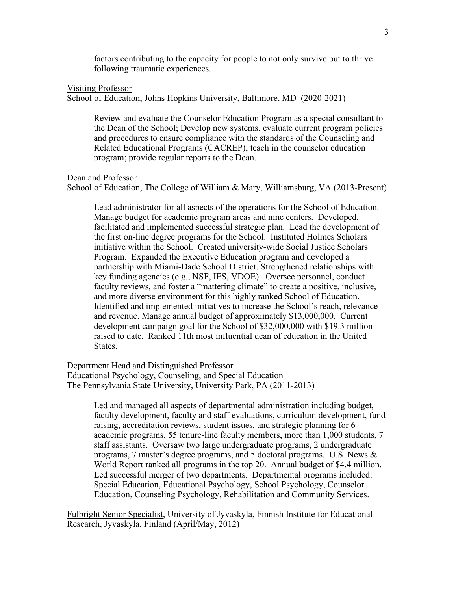factors contributing to the capacity for people to not only survive but to thrive following traumatic experiences.

#### Visiting Professor

School of Education, Johns Hopkins University, Baltimore, MD (2020-2021)

Review and evaluate the Counselor Education Program as a special consultant to the Dean of the School; Develop new systems, evaluate current program policies and procedures to ensure compliance with the standards of the Counseling and Related Educational Programs (CACREP); teach in the counselor education program; provide regular reports to the Dean.

Dean and Professor

School of Education, The College of William & Mary, Williamsburg, VA (2013-Present)

Lead administrator for all aspects of the operations for the School of Education. Manage budget for academic program areas and nine centers. Developed, facilitated and implemented successful strategic plan. Lead the development of the first on-line degree programs for the School. Instituted Holmes Scholars initiative within the School. Created university-wide Social Justice Scholars Program. Expanded the Executive Education program and developed a partnership with Miami-Dade School District. Strengthened relationships with key funding agencies (e.g., NSF, IES, VDOE). Oversee personnel, conduct faculty reviews, and foster a "mattering climate" to create a positive, inclusive, and more diverse environment for this highly ranked School of Education. Identified and implemented initiatives to increase the School's reach, relevance and revenue. Manage annual budget of approximately \$13,000,000. Current development campaign goal for the School of \$32,000,000 with \$19.3 million raised to date. Ranked 11th most influential dean of education in the United States.

Department Head and Distinguished Professor Educational Psychology, Counseling, and Special Education The Pennsylvania State University, University Park, PA (2011-2013)

> Led and managed all aspects of departmental administration including budget, faculty development, faculty and staff evaluations, curriculum development, fund raising, accreditation reviews, student issues, and strategic planning for 6 academic programs, 55 tenure-line faculty members, more than 1,000 students, 7 staff assistants. Oversaw two large undergraduate programs, 2 undergraduate programs, 7 master's degree programs, and 5 doctoral programs. U.S. News  $\&$ World Report ranked all programs in the top 20. Annual budget of \$4.4 million. Led successful merger of two departments. Departmental programs included: Special Education, Educational Psychology, School Psychology, Counselor Education, Counseling Psychology, Rehabilitation and Community Services.

Fulbright Senior Specialist, University of Jyvaskyla, Finnish Institute for Educational Research, Jyvaskyla, Finland (April/May, 2012)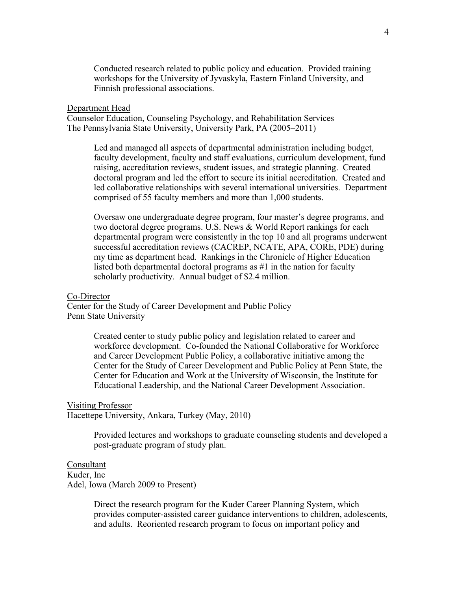Conducted research related to public policy and education. Provided training workshops for the University of Jyvaskyla, Eastern Finland University, and Finnish professional associations.

#### Department Head

Counselor Education, Counseling Psychology, and Rehabilitation Services The Pennsylvania State University, University Park, PA (2005–2011)

> Led and managed all aspects of departmental administration including budget, faculty development, faculty and staff evaluations, curriculum development, fund raising, accreditation reviews, student issues, and strategic planning. Created doctoral program and led the effort to secure its initial accreditation. Created and led collaborative relationships with several international universities. Department comprised of 55 faculty members and more than 1,000 students.

> Oversaw one undergraduate degree program, four master's degree programs, and two doctoral degree programs. U.S. News & World Report rankings for each departmental program were consistently in the top 10 and all programs underwent successful accreditation reviews (CACREP, NCATE, APA, CORE, PDE) during my time as department head. Rankings in the Chronicle of Higher Education listed both departmental doctoral programs as #1 in the nation for faculty scholarly productivity. Annual budget of \$2.4 million.

#### Co-Director

Center for the Study of Career Development and Public Policy Penn State University

> Created center to study public policy and legislation related to career and workforce development. Co-founded the National Collaborative for Workforce and Career Development Public Policy, a collaborative initiative among the Center for the Study of Career Development and Public Policy at Penn State, the Center for Education and Work at the University of Wisconsin, the Institute for Educational Leadership, and the National Career Development Association.

#### Visiting Professor

Hacettepe University, Ankara, Turkey (May, 2010)

Provided lectures and workshops to graduate counseling students and developed a post-graduate program of study plan.

### Consultant

Kuder, Inc

Adel, Iowa (March 2009 to Present)

Direct the research program for the Kuder Career Planning System, which provides computer-assisted career guidance interventions to children, adolescents, and adults. Reoriented research program to focus on important policy and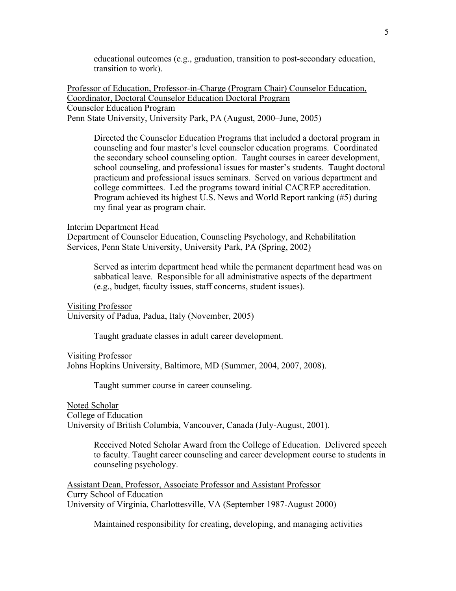educational outcomes (e.g., graduation, transition to post-secondary education, transition to work).

Professor of Education, Professor-in-Charge (Program Chair) Counselor Education, Coordinator, Doctoral Counselor Education Doctoral Program Counselor Education Program Penn State University, University Park, PA (August, 2000–June, 2005)

Directed the Counselor Education Programs that included a doctoral program in counseling and four master's level counselor education programs. Coordinated the secondary school counseling option. Taught courses in career development, school counseling, and professional issues for master's students. Taught doctoral practicum and professional issues seminars. Served on various department and college committees. Led the programs toward initial CACREP accreditation. Program achieved its highest U.S. News and World Report ranking (#5) during my final year as program chair.

#### Interim Department Head

Department of Counselor Education, Counseling Psychology, and Rehabilitation Services, Penn State University, University Park, PA (Spring, 2002)

Served as interim department head while the permanent department head was on sabbatical leave. Responsible for all administrative aspects of the department (e.g., budget, faculty issues, staff concerns, student issues).

Visiting Professor University of Padua, Padua, Italy (November, 2005)

Taught graduate classes in adult career development.

Visiting Professor Johns Hopkins University, Baltimore, MD (Summer, 2004, 2007, 2008).

Taught summer course in career counseling.

Noted Scholar College of Education University of British Columbia, Vancouver, Canada (July-August, 2001).

> Received Noted Scholar Award from the College of Education. Delivered speech to faculty. Taught career counseling and career development course to students in counseling psychology.

Assistant Dean, Professor, Associate Professor and Assistant Professor Curry School of Education University of Virginia, Charlottesville, VA (September 1987-August 2000)

Maintained responsibility for creating, developing, and managing activities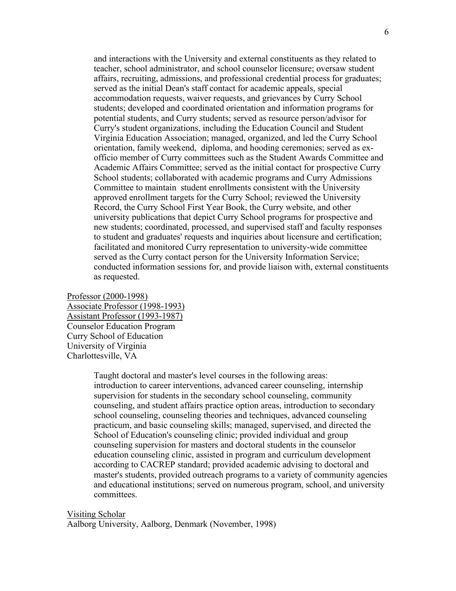and interactions with the University and external constituents as they related to teacher, school administrator, and school counselor licensure; oversaw student affairs, recruiting, admissions, and professional credential process for graduates; served as the initial Dean's staff contact for academic appeals, special accommodation requests, waiver requests, and grievances by Curry School students; developed and coordinated orientation and information programs for potential students, and Curry students; served as resource person/advisor for Curry's student organizations, including the Education Council and Student Virginia Education Association; managed, organized, and led the Curry School orientation, family weekend, diploma, and hooding ceremonies; served as exofficio member of Curry committees such as the Student Awards Committee and Academic Affairs Committee; served as the initial contact for prospective Curry School students; collaborated with academic programs and Curry Admissions Committee to maintain student enrollments consistent with the University approved enrollment targets for the Curry School; reviewed the University Record, the Curry School First Year Book, the Curry website, and other university publications that depict Curry School programs for prospective and new students; coordinated, processed, and supervised staff and faculty responses to student and graduates' requests and inquiries about licensure and certification; facilitated and monitored Curry representation to university-wide committee served as the Curry contact person for the University Information Service; conducted information sessions for, and provide liaison with, external constituents as requested.

Professor (2000-1998) Associate Professor (1998-1993) Assistant Professor (1993-1987) Counselor Education Program Curry School of Education University of Virginia Charlottesville, VA

> Taught doctoral and master's level courses in the following areas: introduction to career interventions, advanced career counseling, internship supervision for students in the secondary school counseling, community counseling, and student affairs practice option areas, introduction to secondary school counseling, counseling theories and techniques, advanced counseling practicum, and basic counseling skills; managed, supervised, and directed the School of Education's counseling clinic; provided individual and group counseling supervision for masters and doctoral students in the counselor education counseling clinic, assisted in program and curriculum development according to CACREP standard; provided academic advising to doctoral and master's students, provided outreach programs to a variety of community agencies and educational institutions; served on numerous program, school, and university committees.

Visiting Scholar Aalborg University, Aalborg, Denmark (November, 1998)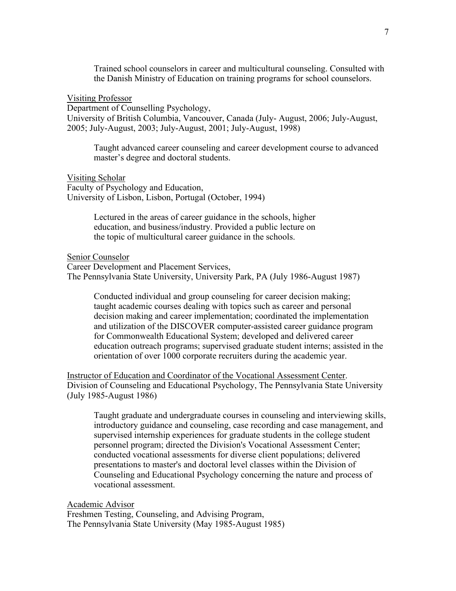Trained school counselors in career and multicultural counseling. Consulted with the Danish Ministry of Education on training programs for school counselors.

Visiting Professor

Department of Counselling Psychology, University of British Columbia, Vancouver, Canada (July- August, 2006; July-August, 2005; July-August, 2003; July-August, 2001; July-August, 1998)

Taught advanced career counseling and career development course to advanced master's degree and doctoral students.

Visiting Scholar Faculty of Psychology and Education, University of Lisbon, Lisbon, Portugal (October, 1994)

> Lectured in the areas of career guidance in the schools, higher education, and business/industry. Provided a public lecture on the topic of multicultural career guidance in the schools.

Senior Counselor

Career Development and Placement Services, The Pennsylvania State University, University Park, PA (July 1986-August 1987)

Conducted individual and group counseling for career decision making; taught academic courses dealing with topics such as career and personal decision making and career implementation; coordinated the implementation and utilization of the DISCOVER computer-assisted career guidance program for Commonwealth Educational System; developed and delivered career education outreach programs; supervised graduate student interns; assisted in the orientation of over 1000 corporate recruiters during the academic year.

Instructor of Education and Coordinator of the Vocational Assessment Center. Division of Counseling and Educational Psychology, The Pennsylvania State University (July 1985-August 1986)

Taught graduate and undergraduate courses in counseling and interviewing skills, introductory guidance and counseling, case recording and case management, and supervised internship experiences for graduate students in the college student personnel program; directed the Division's Vocational Assessment Center; conducted vocational assessments for diverse client populations; delivered presentations to master's and doctoral level classes within the Division of Counseling and Educational Psychology concerning the nature and process of vocational assessment.

Academic Advisor

Freshmen Testing, Counseling, and Advising Program, The Pennsylvania State University (May 1985-August 1985)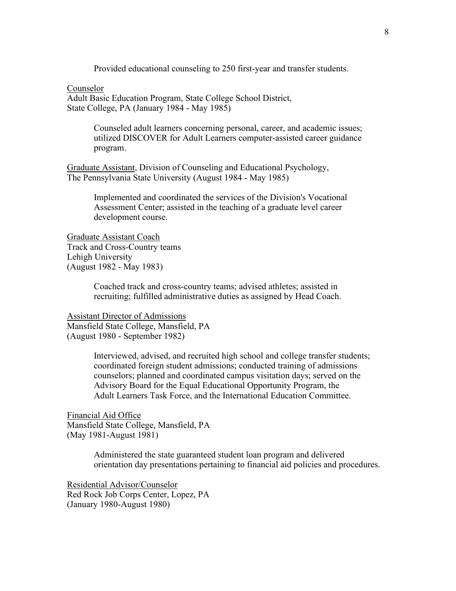Provided educational counseling to 250 first-year and transfer students.

Counselor

Adult Basic Education Program, State College School District, State College, PA (January 1984 - May 1985)

> Counseled adult learners concerning personal, career, and academic issues; utilized DISCOVER for Adult Learners computer-assisted career guidance program.

Graduate Assistant, Division of Counseling and Educational Psychology, The Pennsylvania State University (August 1984 - May 1985)

> Implemented and coordinated the services of the Division's Vocational Assessment Center; assisted in the teaching of a graduate level career development course.

Graduate Assistant Coach Track and Cross-Country teams Lehigh University (August 1982 - May 1983)

> Coached track and cross-country teams; advised athletes; assisted in recruiting; fulfilled administrative duties as assigned by Head Coach.

Assistant Director of Admissions Mansfield State College, Mansfield, PA (August 1980 - September 1982)

> Interviewed, advised, and recruited high school and college transfer students; coordinated foreign student admissions; conducted training of admissions counselors; planned and coordinated campus visitation days; served on the Advisory Board for the Equal Educational Opportunity Program, the Adult Learners Task Force, and the International Education Committee.

Financial Aid Office Mansfield State College, Mansfield, PA (May 1981-August 1981)

> Administered the state guaranteed student loan program and delivered orientation day presentations pertaining to financial aid policies and procedures.

Residential Advisor/Counselor Red Rock Job Corps Center, Lopez, PA (January 1980-August 1980)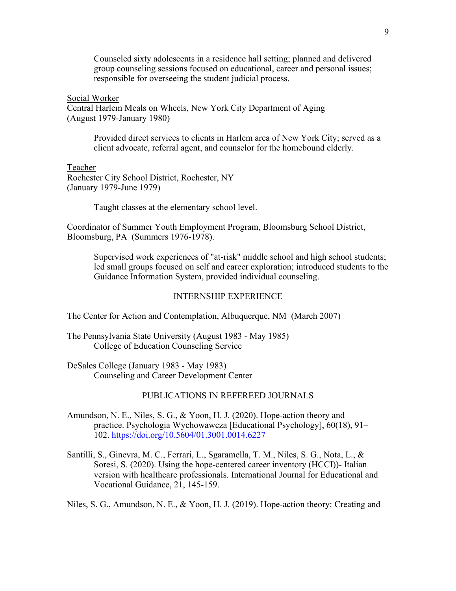Counseled sixty adolescents in a residence hall setting; planned and delivered group counseling sessions focused on educational, career and personal issues; responsible for overseeing the student judicial process.

Social Worker Central Harlem Meals on Wheels, New York City Department of Aging (August 1979-January 1980)

> Provided direct services to clients in Harlem area of New York City; served as a client advocate, referral agent, and counselor for the homebound elderly.

Teacher Rochester City School District, Rochester, NY (January 1979-June 1979)

Taught classes at the elementary school level.

Coordinator of Summer Youth Employment Program, Bloomsburg School District, Bloomsburg, PA (Summers 1976-1978).

Supervised work experiences of "at-risk" middle school and high school students; led small groups focused on self and career exploration; introduced students to the Guidance Information System, provided individual counseling.

## INTERNSHIP EXPERIENCE

The Center for Action and Contemplation, Albuquerque, NM (March 2007)

The Pennsylvania State University (August 1983 - May 1985) College of Education Counseling Service

DeSales College (January 1983 - May 1983) Counseling and Career Development Center

### PUBLICATIONS IN REFEREED JOURNALS

- Amundson, N. E., Niles, S. G., & Yoon, H. J. (2020). Hope-action theory and practice. Psychologia Wychowawcza [Educational Psychology], 60(18), 91– 102. <https://doi.org/10.5604/01.3001.0014.6227>
- Santilli, S., Ginevra, M. C., Ferrari, L., Sgaramella, T. M., Niles, S. G., Nota, L., & Soresi, S. (2020). Using the hope-centered career inventory (HCCI))- Italian version with healthcare professionals. International Journal for Educational and Vocational Guidance, 21, 145-159.

Niles, S. G., Amundson, N. E., & Yoon, H. J. (2019). Hope-action theory: Creating and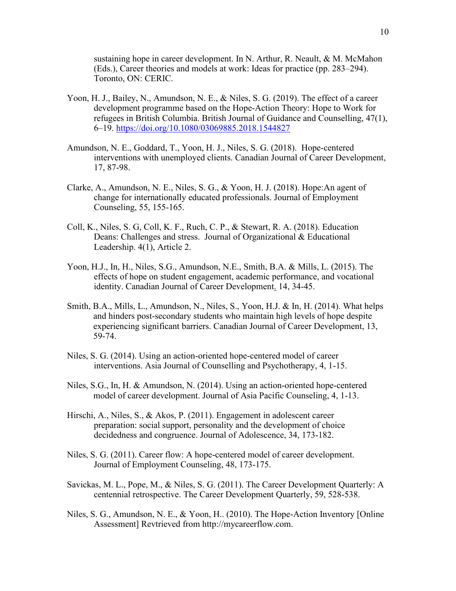sustaining hope in career development. In N. Arthur, R. Neault, & M. McMahon (Eds.), Career theories and models at work: Ideas for practice (pp. 283–294). Toronto, ON: CERIC.

- Yoon, H. J., Bailey, N., Amundson, N. E., & Niles, S. G. (2019). The effect of a career development programme based on the Hope-Action Theory: Hope to Work for refugees in British Columbia. British Journal of Guidance and Counselling, 47(1), 6–19. <https://doi.org/10.1080/03069885.2018.1544827>
- Amundson, N. E., Goddard, T., Yoon, H. J., Niles, S. G. (2018). Hope-centered interventions with unemployed clients. Canadian Journal of Career Development, 17, 87-98.
- Clarke, A., Amundson, N. E., Niles, S. G., & Yoon, H. J. (2018). Hope:An agent of change for internationally educated professionals. Journal of Employment Counseling, 55, 155-165.
- Coll, K., Niles, S. G, Coll, K. F., Ruch, C. P., & Stewart, R. A. (2018). Education Deans: Challenges and stress. Journal of Organizational & Educational Leadership. 4(1), Article 2.
- Yoon, H.J., In, H., Niles, S.G., Amundson, N.E., Smith, B.A. & Mills, L. (2015). The effects of hope on student engagement, academic performance, and vocational identity. Canadian Journal of Career Development. 14, 34-45.
- Smith, B.A., Mills, L., Amundson, N., Niles, S., Yoon, H.J. & In, H. (2014). What helps and hinders post-secondary students who maintain high levels of hope despite experiencing significant barriers. Canadian Journal of Career Development, 13, 59-74.
- Niles, S. G. (2014). Using an action-oriented hope-centered model of career interventions. Asia Journal of Counselling and Psychotherapy, 4, 1-15.
- Niles, S.G., In, H. & Amundson, N. (2014). Using an action-oriented hope-centered model of career development. Journal of Asia Pacific Counseling, 4, 1-13.
- Hirschi, A., Niles, S., & Akos, P. (2011). Engagement in adolescent career preparation: social support, personality and the development of choice decidedness and congruence. Journal of Adolescence, 34, 173-182.
- Niles, S. G. (2011). Career flow: A hope-centered model of career development. Journal of Employment Counseling, 48, 173-175.
- Savickas, M. L., Pope, M., & Niles, S. G. (2011). The Career Development Quarterly: A centennial retrospective. The Career Development Quarterly, 59, 528-538.
- Niles, S. G., Amundson, N. E., & Yoon, H.. (2010). The Hope-Action Inventory [Online Assessment] Revtrieved from http://mycareerflow.com.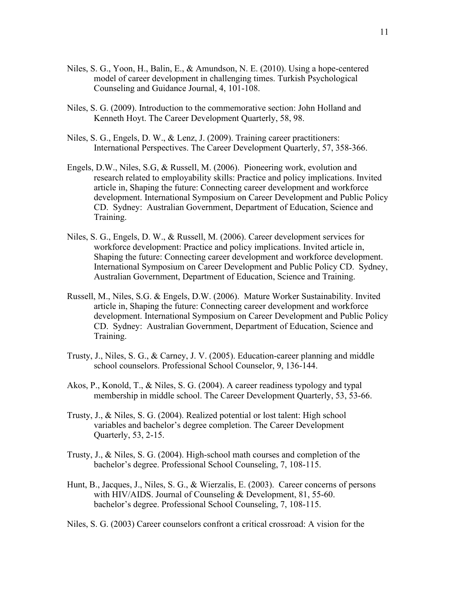- Niles, S. G., Yoon, H., Balin, E., & Amundson, N. E. (2010). Using a hope-centered model of career development in challenging times. Turkish Psychological Counseling and Guidance Journal, 4, 101-108.
- Niles, S. G. (2009). Introduction to the commemorative section: John Holland and Kenneth Hoyt. The Career Development Quarterly, 58, 98.
- Niles, S. G., Engels, D. W., & Lenz, J. (2009). Training career practitioners: International Perspectives. The Career Development Quarterly, 57, 358-366.
- Engels, D.W., Niles, S.G, & Russell, M. (2006). Pioneering work, evolution and research related to employability skills: Practice and policy implications. Invited article in, Shaping the future: Connecting career development and workforce development. International Symposium on Career Development and Public Policy CD. Sydney: Australian Government, Department of Education, Science and Training.
- Niles, S. G., Engels, D. W., & Russell, M. (2006). Career development services for workforce development: Practice and policy implications. Invited article in, Shaping the future: Connecting career development and workforce development. International Symposium on Career Development and Public Policy CD. Sydney, Australian Government, Department of Education, Science and Training.
- Russell, M., Niles, S.G. & Engels, D.W. (2006). Mature Worker Sustainability. Invited article in, Shaping the future: Connecting career development and workforce development. International Symposium on Career Development and Public Policy CD. Sydney: Australian Government, Department of Education, Science and Training.
- Trusty, J., Niles, S. G., & Carney, J. V. (2005). Education-career planning and middle school counselors. Professional School Counselor, 9, 136-144.
- Akos, P., Konold, T., & Niles, S. G. (2004). A career readiness typology and typal membership in middle school. The Career Development Quarterly, 53, 53-66.
- Trusty, J., & Niles, S. G. (2004). Realized potential or lost talent: High school variables and bachelor's degree completion. The Career Development Quarterly, 53, 2-15.
- Trusty, J., & Niles, S. G. (2004). High-school math courses and completion of the bachelor's degree. Professional School Counseling, 7, 108-115.
- Hunt, B., Jacques, J., Niles, S. G., & Wierzalis, E. (2003). Career concerns of persons with HIV/AIDS. Journal of Counseling & Development, 81, 55-60. bachelor's degree. Professional School Counseling, 7, 108-115.

Niles, S. G. (2003) Career counselors confront a critical crossroad: A vision for the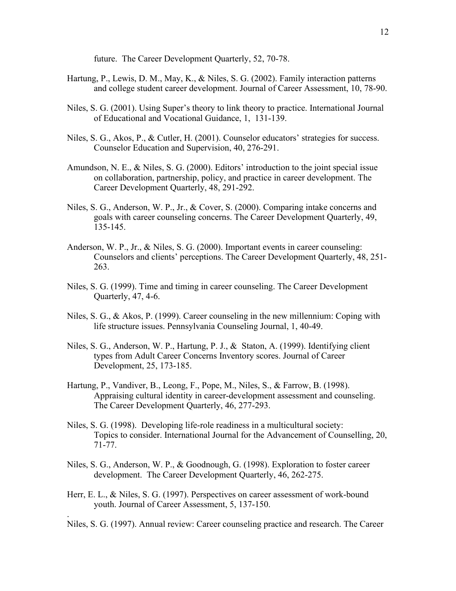future. The Career Development Quarterly, 52, 70-78.

- Hartung, P., Lewis, D. M., May, K., & Niles, S. G. (2002). Family interaction patterns and college student career development. Journal of Career Assessment, 10, 78-90.
- Niles, S. G. (2001). Using Super's theory to link theory to practice. International Journal of Educational and Vocational Guidance, 1, 131-139.
- Niles, S. G., Akos, P., & Cutler, H. (2001). Counselor educators' strategies for success. Counselor Education and Supervision, 40, 276-291.
- Amundson, N. E., & Niles, S. G. (2000). Editors' introduction to the joint special issue on collaboration, partnership, policy, and practice in career development. The Career Development Quarterly, 48, 291-292.
- Niles, S. G., Anderson, W. P., Jr., & Cover, S. (2000). Comparing intake concerns and goals with career counseling concerns. The Career Development Quarterly, 49, 135-145.
- Anderson, W. P., Jr., & Niles, S. G. (2000). Important events in career counseling: Counselors and clients' perceptions. The Career Development Quarterly, 48, 251- 263.
- Niles, S. G. (1999). Time and timing in career counseling. The Career Development Quarterly, 47, 4-6.
- Niles, S. G., & Akos, P. (1999). Career counseling in the new millennium: Coping with life structure issues. Pennsylvania Counseling Journal, 1, 40-49.
- Niles, S. G., Anderson, W. P., Hartung, P. J., & Staton, A. (1999). Identifying client types from Adult Career Concerns Inventory scores. Journal of Career Development, 25, 173-185.
- Hartung, P., Vandiver, B., Leong, F., Pope, M., Niles, S., & Farrow, B. (1998). Appraising cultural identity in career-development assessment and counseling. The Career Development Quarterly, 46, 277-293.
- Niles, S. G. (1998). Developing life-role readiness in a multicultural society: Topics to consider. International Journal for the Advancement of Counselling, 20, 71-77.
- Niles, S. G., Anderson, W. P., & Goodnough, G. (1998). Exploration to foster career development. The Career Development Quarterly, 46, 262-275.
- Herr, E. L., & Niles, S. G. (1997). Perspectives on career assessment of work-bound youth. Journal of Career Assessment, 5, 137-150.

.

Niles, S. G. (1997). Annual review: Career counseling practice and research. The Career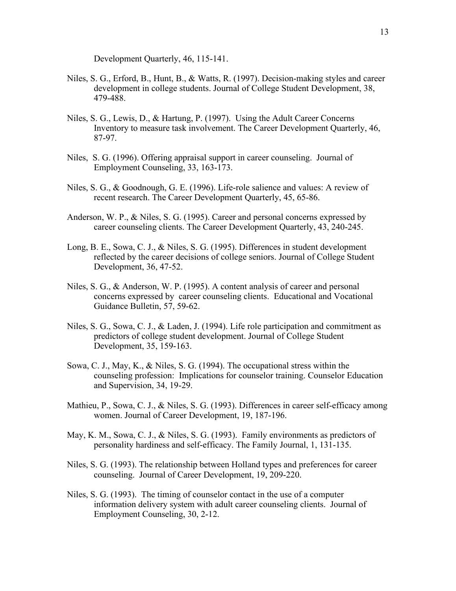Development Quarterly, 46, 115-141.

- Niles, S. G., Erford, B., Hunt, B., & Watts, R. (1997). Decision-making styles and career development in college students. Journal of College Student Development, 38, 479-488.
- Niles, S. G., Lewis, D., & Hartung, P. (1997). Using the Adult Career Concerns Inventory to measure task involvement. The Career Development Quarterly, 46, 87-97.
- Niles, S. G. (1996). Offering appraisal support in career counseling. Journal of Employment Counseling, 33, 163-173.
- Niles, S. G., & Goodnough, G. E. (1996). Life-role salience and values: A review of recent research. The Career Development Quarterly, 45, 65-86.
- Anderson, W. P., & Niles, S. G. (1995). Career and personal concerns expressed by career counseling clients. The Career Development Quarterly, 43, 240-245.
- Long, B. E., Sowa, C. J., & Niles, S. G. (1995). Differences in student development reflected by the career decisions of college seniors. Journal of College Student Development, 36, 47-52.
- Niles, S. G., & Anderson, W. P. (1995). A content analysis of career and personal concerns expressed by career counseling clients. Educational and Vocational Guidance Bulletin, 57, 59-62.
- Niles, S. G., Sowa, C. J., & Laden, J. (1994). Life role participation and commitment as predictors of college student development. Journal of College Student Development, 35, 159-163.
- Sowa, C. J., May, K., & Niles, S. G. (1994). The occupational stress within the counseling profession: Implications for counselor training. Counselor Education and Supervision, 34, 19-29.
- Mathieu, P., Sowa, C. J., & Niles, S. G. (1993). Differences in career self-efficacy among women. Journal of Career Development, 19, 187-196.
- May, K. M., Sowa, C. J., & Niles, S. G. (1993). Family environments as predictors of personality hardiness and self-efficacy. The Family Journal, 1, 131-135.
- Niles, S. G. (1993). The relationship between Holland types and preferences for career counseling. Journal of Career Development, 19, 209-220.
- Niles, S. G. (1993). The timing of counselor contact in the use of a computer information delivery system with adult career counseling clients. Journal of Employment Counseling, 30, 2-12.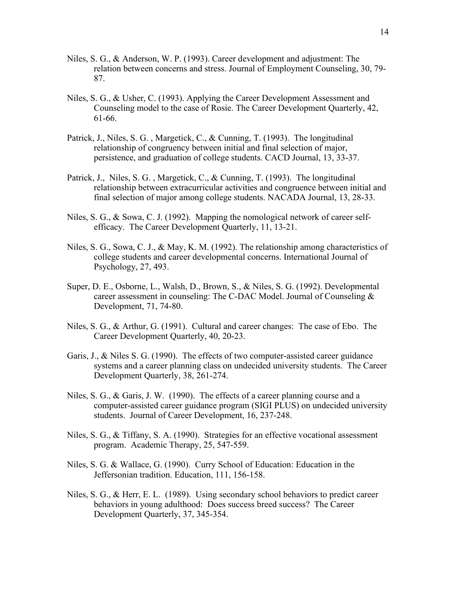- Niles, S. G., & Anderson, W. P. (1993). Career development and adjustment: The relation between concerns and stress. Journal of Employment Counseling, 30, 79- 87.
- Niles, S. G., & Usher, C. (1993). Applying the Career Development Assessment and Counseling model to the case of Rosie. The Career Development Quarterly, 42, 61-66.
- Patrick, J., Niles, S. G. , Margetick, C., & Cunning, T. (1993). The longitudinal relationship of congruency between initial and final selection of major, persistence, and graduation of college students. CACD Journal, 13, 33-37.
- Patrick, J., Niles, S. G., Margetick, C., & Cunning, T. (1993). The longitudinal relationship between extracurricular activities and congruence between initial and final selection of major among college students. NACADA Journal, 13, 28-33.
- Niles, S. G., & Sowa, C. J. (1992). Mapping the nomological network of career selfefficacy. The Career Development Quarterly, 11, 13-21.
- Niles, S. G., Sowa, C. J., & May, K. M. (1992). The relationship among characteristics of college students and career developmental concerns. International Journal of Psychology, 27, 493.
- Super, D. E., Osborne, L., Walsh, D., Brown, S., & Niles, S. G. (1992). Developmental career assessment in counseling: The C-DAC Model. Journal of Counseling & Development, 71, 74-80.
- Niles, S. G., & Arthur, G. (1991). Cultural and career changes: The case of Ebo. The Career Development Quarterly, 40, 20-23.
- Garis, J., & Niles S. G. (1990). The effects of two computer-assisted career guidance systems and a career planning class on undecided university students. The Career Development Quarterly, 38, 261-274.
- Niles, S. G., & Garis, J. W. (1990). The effects of a career planning course and a computer-assisted career guidance program (SIGI PLUS) on undecided university students. Journal of Career Development, 16, 237-248.
- Niles, S. G., & Tiffany, S. A. (1990). Strategies for an effective vocational assessment program. Academic Therapy, 25, 547-559.
- Niles, S. G. & Wallace, G. (1990). Curry School of Education: Education in the Jeffersonian tradition. Education, 111, 156-158.
- Niles, S. G., & Herr, E. L. (1989). Using secondary school behaviors to predict career behaviors in young adulthood: Does success breed success? The Career Development Quarterly, 37, 345-354.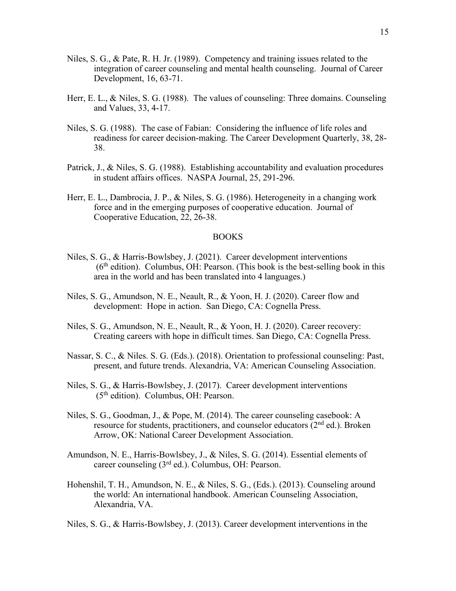- Niles, S. G., & Pate, R. H. Jr. (1989). Competency and training issues related to the integration of career counseling and mental health counseling. Journal of Career Development, 16, 63-71.
- Herr, E. L., & Niles, S. G. (1988). The values of counseling: Three domains. Counseling and Values, 33, 4-17.
- Niles, S. G. (1988). The case of Fabian: Considering the influence of life roles and readiness for career decision-making. The Career Development Quarterly, 38, 28- 38.
- Patrick, J., & Niles, S. G. (1988). Establishing accountability and evaluation procedures in student affairs offices. NASPA Journal, 25, 291-296.
- Herr, E. L., Dambrocia, J. P., & Niles, S. G. (1986). Heterogeneity in a changing work force and in the emerging purposes of cooperative education. Journal of Cooperative Education, 22, 26-38.

#### BOOKS

- Niles, S. G., & Harris-Bowlsbey, J. (2021). Career development interventions  $(6<sup>th</sup> edition)$ . Columbus, OH: Pearson. (This book is the best-selling book in this area in the world and has been translated into 4 languages.)
- Niles, S. G., Amundson, N. E., Neault, R., & Yoon, H. J. (2020). Career flow and development: Hope in action. San Diego, CA: Cognella Press.
- Niles, S. G., Amundson, N. E., Neault, R., & Yoon, H. J. (2020). Career recovery: Creating careers with hope in difficult times. San Diego, CA: Cognella Press.
- Nassar, S. C., & Niles. S. G. (Eds.). (2018). Orientation to professional counseling: Past, present, and future trends. Alexandria, VA: American Counseling Association.
- Niles, S. G., & Harris-Bowlsbey, J. (2017). Career development interventions (5th edition). Columbus, OH: Pearson.
- Niles, S. G., Goodman, J., & Pope, M. (2014). The career counseling casebook: A resource for students, practitioners, and counselor educators  $(2<sup>nd</sup>$  ed.). Broken Arrow, OK: National Career Development Association.
- Amundson, N. E., Harris-Bowlsbey, J., & Niles, S. G. (2014). Essential elements of career counseling (3rd ed.). Columbus, OH: Pearson.
- Hohenshil, T. H., Amundson, N. E., & Niles, S. G., (Eds.). (2013). Counseling around the world: An international handbook. American Counseling Association, Alexandria, VA.

Niles, S. G., & Harris-Bowlsbey, J. (2013). Career development interventions in the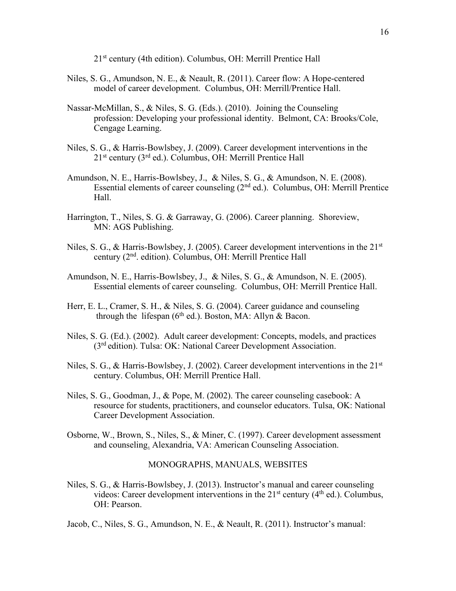21st century (4th edition). Columbus, OH: Merrill Prentice Hall

- Niles, S. G., Amundson, N. E., & Neault, R. (2011). Career flow: A Hope-centered model of career development. Columbus, OH: Merrill/Prentice Hall.
- Nassar-McMillan, S., & Niles, S. G. (Eds.). (2010). Joining the Counseling profession: Developing your professional identity. Belmont, CA: Brooks/Cole, Cengage Learning.
- Niles, S. G., & Harris-Bowlsbey, J. (2009). Career development interventions in the 21st century (3rd ed.). Columbus, OH: Merrill Prentice Hall
- Amundson, N. E., Harris-Bowlsbey, J., & Niles, S. G., & Amundson, N. E. (2008). Essential elements of career counseling (2nd ed.). Columbus, OH: Merrill Prentice Hall.
- Harrington, T., Niles, S. G. & Garraway, G. (2006). Career planning. Shoreview, MN: AGS Publishing.
- Niles, S. G., & Harris-Bowlsbey, J. (2005). Career development interventions in the 21<sup>st</sup> century (2nd. edition). Columbus, OH: Merrill Prentice Hall
- Amundson, N. E., Harris-Bowlsbey, J., & Niles, S. G., & Amundson, N. E. (2005). Essential elements of career counseling. Columbus, OH: Merrill Prentice Hall.
- Herr, E. L., Cramer, S. H., & Niles, S. G. (2004). Career guidance and counseling through the lifespan ( $6<sup>th</sup>$  ed.). Boston, MA: Allyn & Bacon.
- Niles, S. G. (Ed.). (2002). Adult career development: Concepts, models, and practices (3rd edition). Tulsa: OK: National Career Development Association.
- Niles, S. G., & Harris-Bowlsbey, J. (2002). Career development interventions in the 21<sup>st</sup> century. Columbus, OH: Merrill Prentice Hall.
- Niles, S. G., Goodman, J., & Pope, M. (2002). The career counseling casebook: A resource for students, practitioners, and counselor educators. Tulsa, OK: National Career Development Association.
- Osborne, W., Brown, S., Niles, S., & Miner, C. (1997). Career development assessment and counseling. Alexandria, VA: American Counseling Association.

### MONOGRAPHS, MANUALS, WEBSITES

Niles, S. G., & Harris-Bowlsbey, J. (2013). Instructor's manual and career counseling videos: Career development interventions in the  $21<sup>st</sup>$  century (4<sup>th</sup> ed.). Columbus, OH: Pearson.

Jacob, C., Niles, S. G., Amundson, N. E., & Neault, R. (2011). Instructor's manual: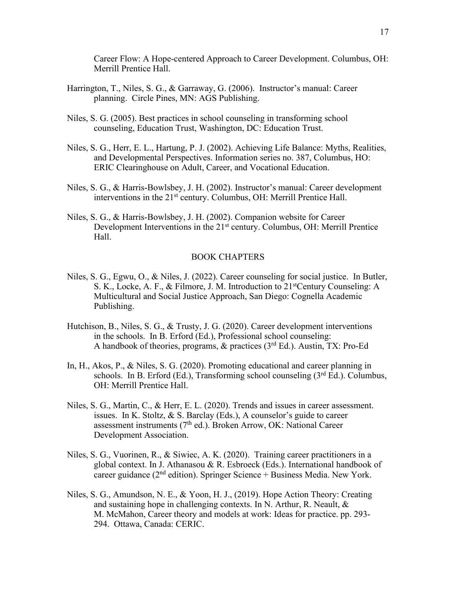Career Flow: A Hope-centered Approach to Career Development. Columbus, OH: Merrill Prentice Hall.

- Harrington, T., Niles, S. G., & Garraway, G. (2006). Instructor's manual: Career planning. Circle Pines, MN: AGS Publishing.
- Niles, S. G. (2005). Best practices in school counseling in transforming school counseling, Education Trust, Washington, DC: Education Trust.
- Niles, S. G., Herr, E. L., Hartung, P. J. (2002). Achieving Life Balance: Myths, Realities, and Developmental Perspectives. Information series no. 387, Columbus, HO: ERIC Clearinghouse on Adult, Career, and Vocational Education.
- Niles, S. G., & Harris-Bowlsbey, J. H. (2002). Instructor's manual: Career development interventions in the 21<sup>st</sup> century. Columbus, OH: Merrill Prentice Hall.
- Niles, S. G., & Harris-Bowlsbey, J. H. (2002). Companion website for Career Development Interventions in the  $21<sup>st</sup>$  century. Columbus, OH: Merrill Prentice Hall.

### BOOK CHAPTERS

- Niles, S. G., Egwu, O., & Niles, J. (2022). Career counseling for social justice. In Butler, S. K., Locke, A. F., & Filmore, J. M. Introduction to 21<sup>st</sup>Century Counseling: A Multicultural and Social Justice Approach, San Diego: Cognella Academic Publishing.
- Hutchison, B., Niles, S. G., & Trusty, J. G. (2020). Career development interventions in the schools. In B. Erford (Ed.), Professional school counseling: A handbook of theories, programs,  $\&$  practices (3<sup>rd</sup> Ed.). Austin, TX: Pro-Ed
- In, H., Akos, P., & Niles, S. G. (2020). Promoting educational and career planning in schools. In B. Erford (Ed.), Transforming school counseling  $(3<sup>rd</sup> Ed)$ . Columbus, OH: Merrill Prentice Hall.
- Niles, S. G., Martin, C., & Herr, E. L. (2020). Trends and issues in career assessment. issues. In K. Stoltz, & S. Barclay (Eds.), A counselor's guide to career assessment instruments ( $7<sup>th</sup>$  ed.). Broken Arrow, OK: National Career Development Association.
- Niles, S. G., Vuorinen, R., & Siwiec, A. K. (2020). Training career practitioners in a global context. In J. Athanasou & R. Esbroeck (Eds.). International handbook of career guidance ( $2<sup>nd</sup>$  edition). Springer Science + Business Media. New York.
- Niles, S. G., Amundson, N. E., & Yoon, H. J., (2019). Hope Action Theory: Creating and sustaining hope in challenging contexts. In N. Arthur, R. Neault, & M. McMahon, Career theory and models at work: Ideas for practice. pp. 293- 294. Ottawa, Canada: CERIC.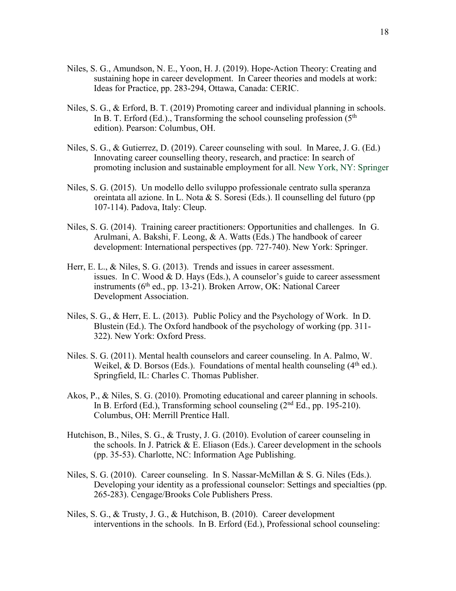- Niles, S. G., Amundson, N. E., Yoon, H. J. (2019). Hope-Action Theory: Creating and sustaining hope in career development. In Career theories and models at work: Ideas for Practice, pp. 283-294, Ottawa, Canada: CERIC.
- Niles, S. G., & Erford, B. T. (2019) Promoting career and individual planning in schools. In B. T. Erford (Ed.)., Transforming the school counseling profession  $(5<sup>th</sup>$ edition). Pearson: Columbus, OH.
- Niles, S. G., & Gutierrez, D. (2019). Career counseling with soul. In Maree, J. G. (Ed.) Innovating career counselling theory, research, and practice: In search of promoting inclusion and sustainable employment for all. New York, NY: Springer
- Niles, S. G. (2015). Un modello dello sviluppo professionale centrato sulla speranza oreintata all azione. In L. Nota & S. Soresi (Eds.). Il counselling del futuro (pp 107-114). Padova, Italy: Cleup.
- Niles, S. G. (2014). Training career practitioners: Opportunities and challenges. In G. Arulmani, A. Bakshi, F. Leong, & A. Watts (Eds.) The handbook of career development: International perspectives (pp. 727-740). New York: Springer.
- Herr, E. L., & Niles, S. G. (2013). Trends and issues in career assessment. issues. In C. Wood & D. Hays (Eds.), A counselor's guide to career assessment instruments (6<sup>th</sup> ed., pp. 13-21). Broken Arrow, OK: National Career Development Association.
- Niles, S. G., & Herr, E. L. (2013). Public Policy and the Psychology of Work. In D. Blustein (Ed.). The Oxford handbook of the psychology of working (pp. 311- 322). New York: Oxford Press.
- Niles. S. G. (2011). Mental health counselors and career counseling. In A. Palmo, W. Weikel, & D. Borsos (Eds.). Foundations of mental health counseling  $(4<sup>th</sup>$  ed.). Springfield, IL: Charles C. Thomas Publisher.
- Akos, P., & Niles, S. G. (2010). Promoting educational and career planning in schools. In B. Erford (Ed.), Transforming school counseling (2nd Ed., pp. 195-210). Columbus, OH: Merrill Prentice Hall.
- Hutchison, B., Niles, S. G., & Trusty, J. G. (2010). Evolution of career counseling in the schools. In J. Patrick  $& E$ . Eliason (Eds.). Career development in the schools (pp. 35-53). Charlotte, NC: Information Age Publishing.
- Niles, S. G. (2010). Career counseling. In S. Nassar-McMillan & S. G. Niles (Eds.). Developing your identity as a professional counselor: Settings and specialties (pp. 265-283). Cengage/Brooks Cole Publishers Press.
- Niles, S. G., & Trusty, J. G., & Hutchison, B. (2010). Career development interventions in the schools. In B. Erford (Ed.), Professional school counseling: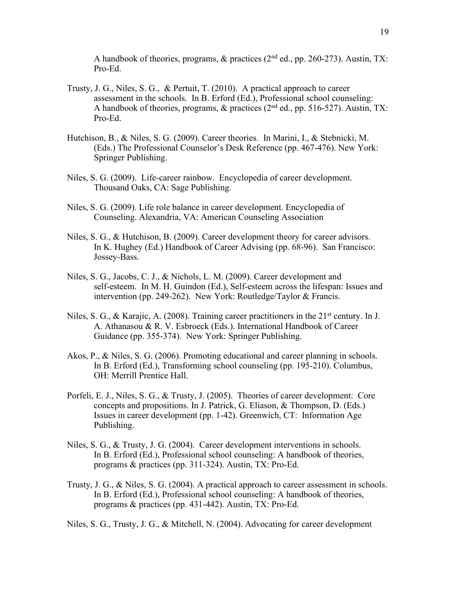A handbook of theories, programs, & practices  $(2<sup>nd</sup>$  ed., pp. 260-273). Austin, TX: Pro-Ed.

- Trusty, J. G., Niles, S. G., & Pertuit, T. (2010). A practical approach to career assessment in the schools. In B. Erford (Ed.), Professional school counseling: A handbook of theories, programs,  $\&$  practices ( $2<sup>nd</sup>$  ed., pp. 516-527). Austin, TX: Pro-Ed.
- Hutchison, B., & Niles, S. G. (2009). Career theories. In Marini, I., & Stebnicki, M. (Eds.) The Professional Counselor's Desk Reference (pp. 467-476). New York: Springer Publishing.
- Niles, S. G. (2009). Life-career rainbow. Encyclopedia of career development. Thousand Oaks, CA: Sage Publishing.
- Niles, S. G. (2009). Life role balance in career development. Encyclopedia of Counseling. Alexandria, VA: American Counseling Association
- Niles, S. G., & Hutchison, B. (2009). Career development theory for career advisors. In K. Hughey (Ed.) Handbook of Career Advising (pp. 68-96). San Francisco: Jossey-Bass.
- Niles, S. G., Jacobs, C. J., & Nichols, L. M. (2009). Career development and self-esteem. In M. H. Guindon (Ed.), Self-esteem across the lifespan: Issues and intervention (pp. 249-262). New York: Routledge/Taylor & Francis.
- Niles, S. G., & Karajic, A. (2008). Training career practitioners in the 21<sup>st</sup> century. In J. A. Athanasou & R. V. Esbroeck (Eds.). International Handbook of Career Guidance (pp. 355-374). New York: Springer Publishing.
- Akos, P., & Niles, S. G. (2006). Promoting educational and career planning in schools. In B. Erford (Ed.), Transforming school counseling (pp. 195-210). Columbus, OH: Merrill Prentice Hall.
- Porfeli, E. J., Niles, S. G., & Trusty, J. (2005). Theories of career development: Core concepts and propositions. In J. Patrick, G. Eliason, & Thompson, D. (Eds.) Issues in career development (pp. 1-42). Greenwich, CT: Information Age Publishing.
- Niles, S. G., & Trusty, J. G. (2004). Career development interventions in schools. In B. Erford (Ed.), Professional school counseling: A handbook of theories, programs & practices (pp. 311-324). Austin, TX: Pro-Ed.
- Trusty, J. G., & Niles, S. G. (2004). A practical approach to career assessment in schools. In B. Erford (Ed.), Professional school counseling: A handbook of theories, programs & practices (pp. 431-442). Austin, TX: Pro-Ed.

Niles, S. G., Trusty, J. G., & Mitchell, N. (2004). Advocating for career development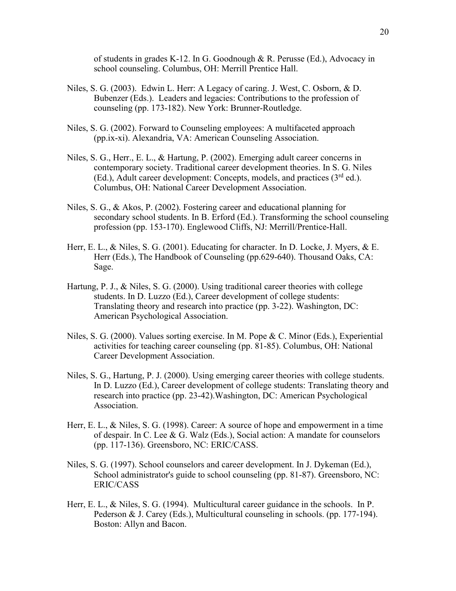of students in grades K-12. In G. Goodnough & R. Perusse (Ed.), Advocacy in school counseling. Columbus, OH: Merrill Prentice Hall.

- Niles, S. G. (2003). Edwin L. Herr: A Legacy of caring. J. West, C. Osborn, & D. Bubenzer (Eds.). Leaders and legacies: Contributions to the profession of counseling (pp. 173-182). New York: Brunner-Routledge.
- Niles, S. G. (2002). Forward to Counseling employees: A multifaceted approach (pp.ix-xi). Alexandria, VA: American Counseling Association.
- Niles, S. G., Herr., E. L., & Hartung, P. (2002). Emerging adult career concerns in contemporary society. Traditional career development theories. In S. G. Niles (Ed.), Adult career development: Concepts, models, and practices  $(3<sup>rd</sup>$  ed.). Columbus, OH: National Career Development Association.
- Niles, S. G., & Akos, P. (2002). Fostering career and educational planning for secondary school students. In B. Erford (Ed.). Transforming the school counseling profession (pp. 153-170). Englewood Cliffs, NJ: Merrill/Prentice-Hall.
- Herr, E. L., & Niles, S. G. (2001). Educating for character. In D. Locke, J. Myers, & E. Herr (Eds.), The Handbook of Counseling (pp.629-640). Thousand Oaks, CA: Sage.
- Hartung, P. J., & Niles, S. G. (2000). Using traditional career theories with college students. In D. Luzzo (Ed.), Career development of college students: Translating theory and research into practice (pp. 3-22). Washington, DC: American Psychological Association.
- Niles, S. G. (2000). Values sorting exercise. In M. Pope & C. Minor (Eds.), Experiential activities for teaching career counseling (pp. 81-85). Columbus, OH: National Career Development Association.
- Niles, S. G., Hartung, P. J. (2000). Using emerging career theories with college students. In D. Luzzo (Ed.), Career development of college students: Translating theory and research into practice (pp. 23-42).Washington, DC: American Psychological Association.
- Herr, E. L., & Niles, S. G. (1998). Career: A source of hope and empowerment in a time of despair. In C. Lee & G. Walz (Eds.), Social action: A mandate for counselors (pp. 117-136). Greensboro, NC: ERIC/CASS.
- Niles, S. G. (1997). School counselors and career development. In J. Dykeman (Ed.), School administrator's guide to school counseling (pp. 81-87). Greensboro, NC: ERIC/CASS
- Herr, E. L., & Niles, S. G. (1994). Multicultural career guidance in the schools. In P. Pederson & J. Carey (Eds.), Multicultural counseling in schools. (pp. 177-194). Boston: Allyn and Bacon.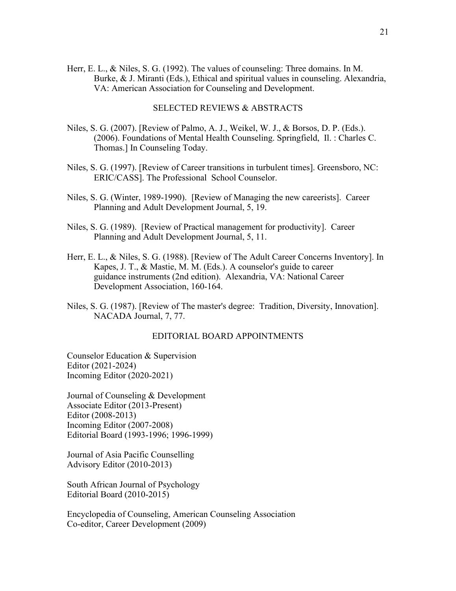Herr, E. L., & Niles, S. G. (1992). The values of counseling: Three domains. In M. Burke, & J. Miranti (Eds.), Ethical and spiritual values in counseling. Alexandria, VA: American Association for Counseling and Development.

## SELECTED REVIEWS & ABSTRACTS

- Niles, S. G. (2007). [Review of Palmo, A. J., Weikel, W. J., & Borsos, D. P. (Eds.). (2006). Foundations of Mental Health Counseling. Springfield, Il. : Charles C. Thomas.] In Counseling Today.
- Niles, S. G. (1997). [Review of Career transitions in turbulent times]. Greensboro, NC: ERIC/CASS]. The Professional School Counselor.
- Niles, S. G. (Winter, 1989-1990). [Review of Managing the new careerists]. Career Planning and Adult Development Journal, 5, 19.
- Niles, S. G. (1989). [Review of Practical management for productivity]. Career Planning and Adult Development Journal, 5, 11.
- Herr, E. L., & Niles, S. G. (1988). [Review of The Adult Career Concerns Inventory]. In Kapes, J. T., & Mastie, M. M. (Eds.). A counselor's guide to career guidance instruments (2nd edition). Alexandria, VA: National Career Development Association, 160-164.
- Niles, S. G. (1987). [Review of The master's degree: Tradition, Diversity, Innovation]. NACADA Journal, 7, 77.

### EDITORIAL BOARD APPOINTMENTS

Counselor Education & Supervision Editor (2021-2024) Incoming Editor (2020-2021)

Journal of Counseling & Development Associate Editor (2013-Present) Editor (2008-2013) Incoming Editor (2007-2008) Editorial Board (1993-1996; 1996-1999)

Journal of Asia Pacific Counselling Advisory Editor (2010-2013)

South African Journal of Psychology Editorial Board (2010-2015)

Encyclopedia of Counseling, American Counseling Association Co-editor, Career Development (2009)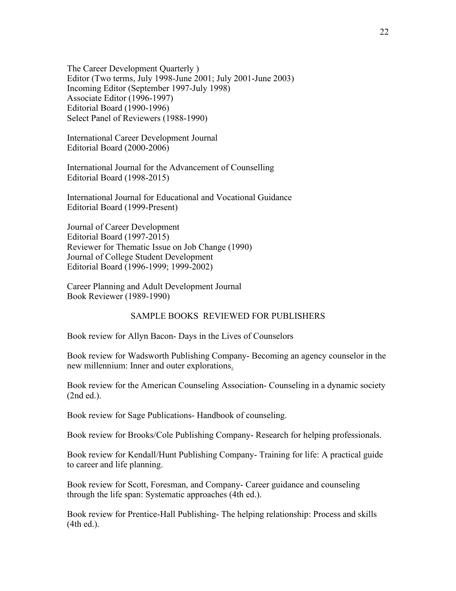The Career Development Quarterly ) Editor (Two terms, July 1998-June 2001; July 2001-June 2003) Incoming Editor (September 1997-July 1998) Associate Editor (1996-1997) Editorial Board (1990-1996) Select Panel of Reviewers (1988-1990)

International Career Development Journal Editorial Board (2000-2006)

International Journal for the Advancement of Counselling Editorial Board (1998-2015)

International Journal for Educational and Vocational Guidance Editorial Board (1999-Present)

Journal of Career Development Editorial Board (1997-2015) Reviewer for Thematic Issue on Job Change (1990) Journal of College Student Development Editorial Board (1996-1999; 1999-2002)

Career Planning and Adult Development Journal Book Reviewer (1989-1990)

# SAMPLE BOOKS REVIEWED FOR PUBLISHERS

Book review for Allyn Bacon- Days in the Lives of Counselors

Book review for Wadsworth Publishing Company- Becoming an agency counselor in the new millennium: Inner and outer explorations.

Book review for the American Counseling Association- Counseling in a dynamic society (2nd ed.).

Book review for Sage Publications- Handbook of counseling.

Book review for Brooks/Cole Publishing Company- Research for helping professionals.

Book review for Kendall/Hunt Publishing Company- Training for life: A practical guide to career and life planning.

Book review for Scott, Foresman, and Company- Career guidance and counseling through the life span: Systematic approaches (4th ed.).

Book review for Prentice-Hall Publishing- The helping relationship: Process and skills (4th ed.).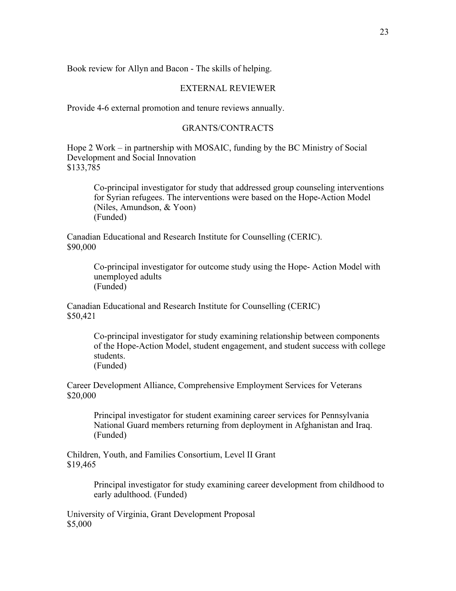Book review for Allyn and Bacon - The skills of helping.

## EXTERNAL REVIEWER

Provide 4-6 external promotion and tenure reviews annually.

### GRANTS/CONTRACTS

Hope 2 Work – in partnership with MOSAIC, funding by the BC Ministry of Social Development and Social Innovation \$133,785

Co-principal investigator for study that addressed group counseling interventions for Syrian refugees. The interventions were based on the Hope-Action Model (Niles, Amundson, & Yoon) (Funded)

Canadian Educational and Research Institute for Counselling (CERIC). \$90,000

> Co-principal investigator for outcome study using the Hope- Action Model with unemployed adults (Funded)

Canadian Educational and Research Institute for Counselling (CERIC) \$50,421

> Co-principal investigator for study examining relationship between components of the Hope-Action Model, student engagement, and student success with college students. (Funded)

Career Development Alliance, Comprehensive Employment Services for Veterans \$20,000

Principal investigator for student examining career services for Pennsylvania National Guard members returning from deployment in Afghanistan and Iraq. (Funded)

Children, Youth, and Families Consortium, Level II Grant \$19,465

> Principal investigator for study examining career development from childhood to early adulthood. (Funded)

University of Virginia, Grant Development Proposal \$5,000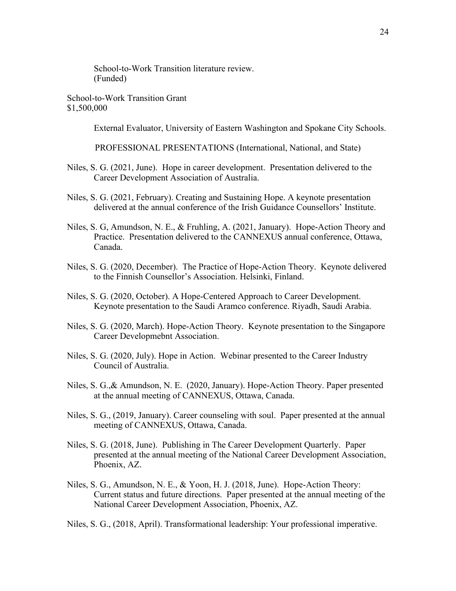School-to-Work Transition literature review. (Funded)

School-to-Work Transition Grant \$1,500,000

External Evaluator, University of Eastern Washington and Spokane City Schools.

PROFESSIONAL PRESENTATIONS (International, National, and State)

- Niles, S. G. (2021, June). Hope in career development. Presentation delivered to the Career Development Association of Australia.
- Niles, S. G. (2021, February). Creating and Sustaining Hope. A keynote presentation delivered at the annual conference of the Irish Guidance Counsellors' Institute.
- Niles, S. G, Amundson, N. E., & Fruhling, A. (2021, January). Hope-Action Theory and Practice. Presentation delivered to the CANNEXUS annual conference, Ottawa, Canada.
- Niles, S. G. (2020, December). The Practice of Hope-Action Theory. Keynote delivered to the Finnish Counsellor's Association. Helsinki, Finland.
- Niles, S. G. (2020, October). A Hope-Centered Approach to Career Development. Keynote presentation to the Saudi Aramco conference. Riyadh, Saudi Arabia.
- Niles, S. G. (2020, March). Hope-Action Theory. Keynote presentation to the Singapore Career Developmebnt Association.
- Niles, S. G. (2020, July). Hope in Action. Webinar presented to the Career Industry Council of Australia.
- Niles, S. G.,& Amundson, N. E. (2020, January). Hope-Action Theory. Paper presented at the annual meeting of CANNEXUS, Ottawa, Canada.
- Niles, S. G., (2019, January). Career counseling with soul. Paper presented at the annual meeting of CANNEXUS, Ottawa, Canada.
- Niles, S. G. (2018, June). Publishing in The Career Development Quarterly. Paper presented at the annual meeting of the National Career Development Association, Phoenix, AZ.
- Niles, S. G., Amundson, N. E., & Yoon, H. J. (2018, June). Hope-Action Theory: Current status and future directions. Paper presented at the annual meeting of the National Career Development Association, Phoenix, AZ.

Niles, S. G., (2018, April). Transformational leadership: Your professional imperative.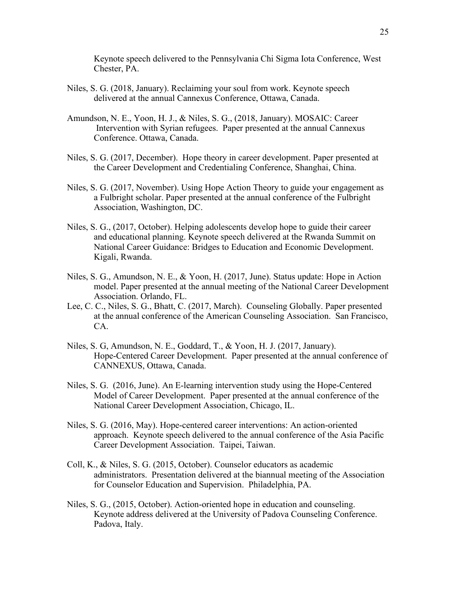Keynote speech delivered to the Pennsylvania Chi Sigma Iota Conference, West Chester, PA.

- Niles, S. G. (2018, January). Reclaiming your soul from work. Keynote speech delivered at the annual Cannexus Conference, Ottawa, Canada.
- Amundson, N. E., Yoon, H. J., & Niles, S. G., (2018, January). MOSAIC: Career Intervention with Syrian refugees. Paper presented at the annual Cannexus Conference. Ottawa, Canada.
- Niles, S. G. (2017, December). Hope theory in career development. Paper presented at the Career Development and Credentialing Conference, Shanghai, China.
- Niles, S. G. (2017, November). Using Hope Action Theory to guide your engagement as a Fulbright scholar. Paper presented at the annual conference of the Fulbright Association, Washington, DC.
- Niles, S. G., (2017, October). Helping adolescents develop hope to guide their career and educational planning. Keynote speech delivered at the Rwanda Summit on National Career Guidance: Bridges to Education and Economic Development. Kigali, Rwanda.
- Niles, S. G., Amundson, N. E., & Yoon, H. (2017, June). Status update: Hope in Action model. Paper presented at the annual meeting of the National Career Development Association. Orlando, FL.
- Lee, C. C., Niles, S. G., Bhatt, C. (2017, March). Counseling Globally. Paper presented at the annual conference of the American Counseling Association. San Francisco, CA.
- Niles, S. G, Amundson, N. E., Goddard, T., & Yoon, H. J. (2017, January). Hope-Centered Career Development. Paper presented at the annual conference of CANNEXUS, Ottawa, Canada.
- Niles, S. G. (2016, June). An E-learning intervention study using the Hope-Centered Model of Career Development. Paper presented at the annual conference of the National Career Development Association, Chicago, IL.
- Niles, S. G. (2016, May). Hope-centered career interventions: An action-oriented approach. Keynote speech delivered to the annual conference of the Asia Pacific Career Development Association. Taipei, Taiwan.
- Coll, K., & Niles, S. G. (2015, October). Counselor educators as academic administrators. Presentation delivered at the biannual meeting of the Association for Counselor Education and Supervision. Philadelphia, PA.
- Niles, S. G., (2015, October). Action-oriented hope in education and counseling. Keynote address delivered at the University of Padova Counseling Conference. Padova, Italy.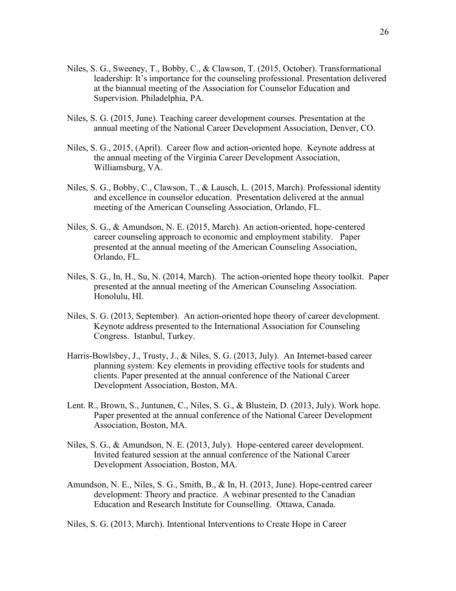- Niles, S. G., Sweeney, T., Bobby, C., & Clawson, T. (2015, October). Transformational leadership: It's importance for the counseling professional. Presentation delivered at the biannual meeting of the Association for Counselor Education and Supervision. Philadelphia, PA.
- Niles, S. G. (2015, June). Teaching career development courses. Presentation at the annual meeting of the National Career Development Association, Denver, CO.
- Niles, S. G., 2015, (April). Career flow and action-oriented hope. Keynote address at the annual meeting of the Virginia Career Development Association, Williamsburg, VA.
- Niles, S. G., Bobby, C., Clawson, T., & Lausch, L. (2015, March). Professional identity and excellence in counselor education. Presentation delivered at the annual meeting of the American Counseling Association, Orlando, FL.
- Niles, S. G., & Amundson, N. E. (2015, March). An action-oriented, hope-centered career counseling approach to economic and employment stability. Paper presented at the annual meeting of the American Counseling Association, Orlando, FL.
- Niles, S. G., In, H., Su, N. (2014, March). The action-oriented hope theory toolkit. Paper presented at the annual meeting of the American Counseling Association. Honolulu, HI.
- Niles, S. G. (2013, September). An action-oriented hope theory of career development. Keynote address presented to the International Association for Counseling Congress. Istanbul, Turkey.
- Harris-Bowlsbey, J., Trusty, J., & Niles, S. G. (2013, July). An Internet-based career planning system: Key elements in providing effective tools for students and clients. Paper presented at the annual conference of the National Career Development Association, Boston, MA.
- Lent. R., Brown, S., Juntunen, C., Niles, S. G., & Blustein, D. (2013, July). Work hope. Paper presented at the annual conference of the National Career Development Association, Boston, MA.
- Niles, S. G., & Amundson, N. E. (2013, July). Hope-centered career development. Invited featured session at the annual conference of the National Career Development Association, Boston, MA.
- Amundson, N. E., Niles, S. G., Smith, B., & In, H. (2013, June). Hope-centred career development: Theory and practice. A webinar presented to the Canadian Education and Research Institute for Counselling. Ottawa, Canada.

Niles, S. G. (2013, March). Intentional Interventions to Create Hope in Career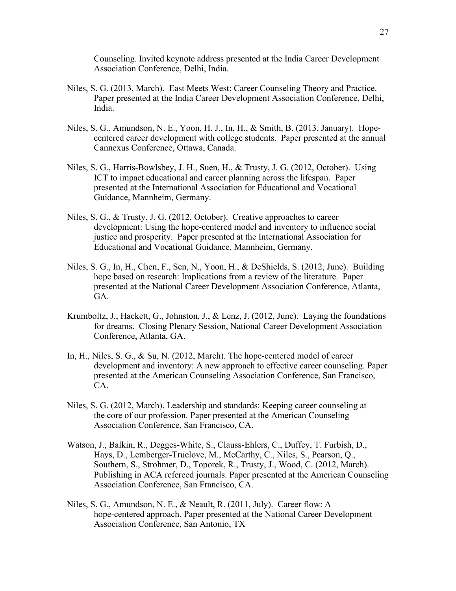Counseling. Invited keynote address presented at the India Career Development Association Conference, Delhi, India.

- Niles, S. G. (2013, March). East Meets West: Career Counseling Theory and Practice. Paper presented at the India Career Development Association Conference, Delhi, India.
- Niles, S. G., Amundson, N. E., Yoon, H. J., In, H., & Smith, B. (2013, January). Hopecentered career development with college students. Paper presented at the annual Cannexus Conference, Ottawa, Canada.
- Niles, S. G., Harris-Bowlsbey, J. H., Suen, H., & Trusty, J. G. (2012, October). Using ICT to impact educational and career planning across the lifespan. Paper presented at the International Association for Educational and Vocational Guidance, Mannheim, Germany.
- Niles, S. G., & Trusty, J. G. (2012, October). Creative approaches to career development: Using the hope-centered model and inventory to influence social justice and prosperity. Paper presented at the International Association for Educational and Vocational Guidance, Mannheim, Germany.
- Niles, S. G., In, H., Chen, F., Sen, N., Yoon, H., & DeShields, S. (2012, June). Building hope based on research: Implications from a review of the literature. Paper presented at the National Career Development Association Conference, Atlanta, GA.
- Krumboltz, J., Hackett, G., Johnston, J., & Lenz, J. (2012, June). Laying the foundations for dreams. Closing Plenary Session, National Career Development Association Conference, Atlanta, GA.
- In, H., Niles, S. G., & Su, N. (2012, March). The hope-centered model of career development and inventory: A new approach to effective career counseling. Paper presented at the American Counseling Association Conference, San Francisco, CA.
- Niles, S. G. (2012, March). Leadership and standards: Keeping career counseling at the core of our profession. Paper presented at the American Counseling Association Conference, San Francisco, CA.
- Watson, J., Balkin, R., Degges-White, S., Clauss-Ehlers, C., Duffey, T. Furbish, D., Hays, D., Lemberger-Truelove, M., McCarthy, C., Niles, S., Pearson, Q., Southern, S., Strohmer, D., Toporek, R., Trusty, J., Wood, C. (2012, March). Publishing in ACA refereed journals. Paper presented at the American Counseling Association Conference, San Francisco, CA.
- Niles, S. G., Amundson, N. E., & Neault, R. (2011, July). Career flow: A hope-centered approach. Paper presented at the National Career Development Association Conference, San Antonio, TX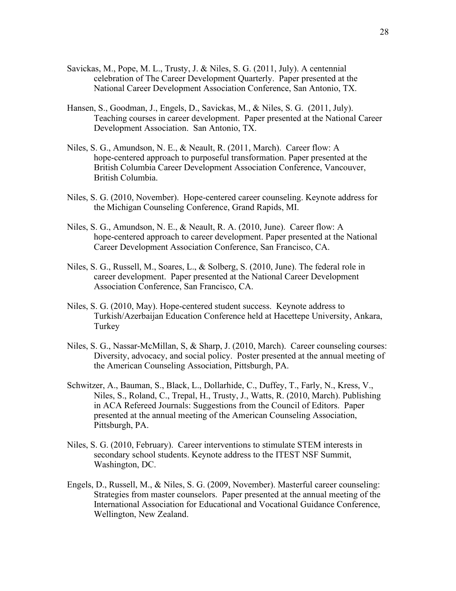- Savickas, M., Pope, M. L., Trusty, J. & Niles, S. G. (2011, July). A centennial celebration of The Career Development Quarterly. Paper presented at the National Career Development Association Conference, San Antonio, TX.
- Hansen, S., Goodman, J., Engels, D., Savickas, M., & Niles, S. G. (2011, July). Teaching courses in career development. Paper presented at the National Career Development Association. San Antonio, TX.
- Niles, S. G., Amundson, N. E., & Neault, R. (2011, March). Career flow: A hope-centered approach to purposeful transformation. Paper presented at the British Columbia Career Development Association Conference, Vancouver, British Columbia.
- Niles, S. G. (2010, November). Hope-centered career counseling. Keynote address for the Michigan Counseling Conference, Grand Rapids, MI.
- Niles, S. G., Amundson, N. E., & Neault, R. A. (2010, June). Career flow: A hope-centered approach to career development. Paper presented at the National Career Development Association Conference, San Francisco, CA.
- Niles, S. G., Russell, M., Soares, L., & Solberg, S. (2010, June). The federal role in career development. Paper presented at the National Career Development Association Conference, San Francisco, CA.
- Niles, S. G. (2010, May). Hope-centered student success. Keynote address to Turkish/Azerbaijan Education Conference held at Hacettepe University, Ankara, Turkey
- Niles, S. G., Nassar-McMillan, S, & Sharp, J. (2010, March). Career counseling courses: Diversity, advocacy, and social policy. Poster presented at the annual meeting of the American Counseling Association, Pittsburgh, PA.
- Schwitzer, A., Bauman, S., Black, L., Dollarhide, C., Duffey, T., Farly, N., Kress, V., Niles, S., Roland, C., Trepal, H., Trusty, J., Watts, R. (2010, March). Publishing in ACA Refereed Journals: Suggestions from the Council of Editors. Paper presented at the annual meeting of the American Counseling Association, Pittsburgh, PA.
- Niles, S. G. (2010, February). Career interventions to stimulate STEM interests in secondary school students. Keynote address to the ITEST NSF Summit, Washington, DC.
- Engels, D., Russell, M., & Niles, S. G. (2009, November). Masterful career counseling: Strategies from master counselors. Paper presented at the annual meeting of the International Association for Educational and Vocational Guidance Conference, Wellington, New Zealand.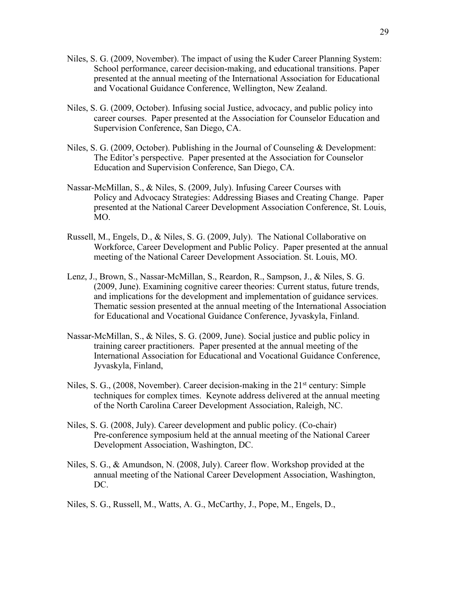- Niles, S. G. (2009, November). The impact of using the Kuder Career Planning System: School performance, career decision-making, and educational transitions. Paper presented at the annual meeting of the International Association for Educational and Vocational Guidance Conference, Wellington, New Zealand.
- Niles, S. G. (2009, October). Infusing social Justice, advocacy, and public policy into career courses. Paper presented at the Association for Counselor Education and Supervision Conference, San Diego, CA.
- Niles, S. G. (2009, October). Publishing in the Journal of Counseling & Development: The Editor's perspective. Paper presented at the Association for Counselor Education and Supervision Conference, San Diego, CA.
- Nassar-McMillan, S., & Niles, S. (2009, July). Infusing Career Courses with Policy and Advocacy Strategies: Addressing Biases and Creating Change. Paper presented at the National Career Development Association Conference, St. Louis, MO.
- Russell, M., Engels, D., & Niles, S. G. (2009, July). The National Collaborative on Workforce, Career Development and Public Policy. Paper presented at the annual meeting of the National Career Development Association. St. Louis, MO.
- Lenz, J., Brown, S., Nassar-McMillan, S., Reardon, R., Sampson, J., & Niles, S. G. (2009, June). Examining cognitive career theories: Current status, future trends, and implications for the development and implementation of guidance services. Thematic session presented at the annual meeting of the International Association for Educational and Vocational Guidance Conference, Jyvaskyla, Finland.
- Nassar-McMillan, S., & Niles, S. G. (2009, June). Social justice and public policy in training career practitioners. Paper presented at the annual meeting of the International Association for Educational and Vocational Guidance Conference, Jyvaskyla, Finland,
- Niles, S. G.,  $(2008, \text{November})$ . Career decision-making in the  $21<sup>st</sup>$  century: Simple techniques for complex times. Keynote address delivered at the annual meeting of the North Carolina Career Development Association, Raleigh, NC.
- Niles, S. G. (2008, July). Career development and public policy. (Co-chair) Pre-conference symposium held at the annual meeting of the National Career Development Association, Washington, DC.
- Niles, S. G., & Amundson, N. (2008, July). Career flow. Workshop provided at the annual meeting of the National Career Development Association, Washington, DC.
- Niles, S. G., Russell, M., Watts, A. G., McCarthy, J., Pope, M., Engels, D.,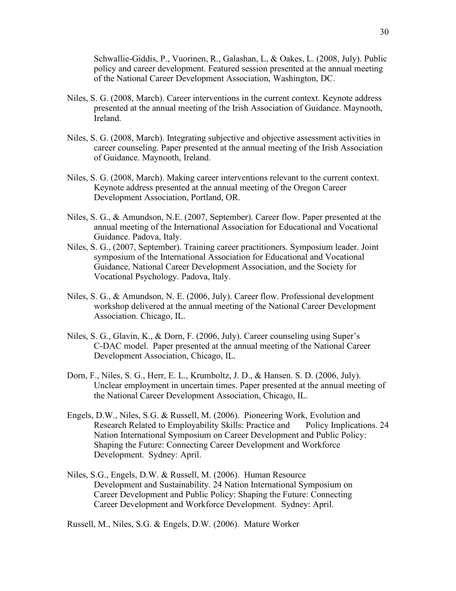Schwallie-Giddis, P., Vuorinen, R., Galashan, L, & Oakes, L. (2008, July). Public policy and career development. Featured session presented at the annual meeting of the National Career Development Association, Washington, DC.

- Niles, S. G. (2008, March). Career interventions in the current context. Keynote address presented at the annual meeting of the Irish Association of Guidance. Maynooth, Ireland.
- Niles, S. G. (2008, March). Integrating subjective and objective assessment activities in career counseling. Paper presented at the annual meeting of the Irish Association of Guidance. Maynooth, Ireland.
- Niles, S. G. (2008, March). Making career interventions relevant to the current context. Keynote address presented at the annual meeting of the Oregon Career Development Association, Portland, OR.
- Niles, S. G., & Amundson, N.E. (2007, September). Career flow. Paper presented at the annual meeting of the International Association for Educational and Vocational Guidance. Padova, Italy.
- Niles, S. G., (2007, September). Training career practitioners. Symposium leader. Joint symposium of the International Association for Educational and Vocational Guidance, National Career Development Association, and the Society for Vocational Psychology. Padova, Italy.
- Niles, S. G., & Amundson, N. E. (2006, July). Career flow. Professional development workshop delivered at the annual meeting of the National Career Development Association. Chicago, IL.
- Niles, S. G., Glavin, K., & Dorn, F. (2006, July). Career counseling using Super's C-DAC model. Paper presented at the annual meeting of the National Career Development Association, Chicago, IL.
- Dorn, F., Niles, S. G., Herr, E. L., Krumboltz, J. D., & Hansen. S. D. (2006, July). Unclear employment in uncertain times. Paper presented at the annual meeting of the National Career Development Association, Chicago, IL.
- Engels, D.W., Niles, S.G. & Russell, M. (2006). Pioneering Work, Evolution and Research Related to Employability Skills: Practice and Policy Implications. 24 Nation International Symposium on Career Development and Public Policy: Shaping the Future: Connecting Career Development and Workforce Development. Sydney: April.
- Niles, S.G., Engels, D.W. & Russell, M. (2006). Human Resource Development and Sustainability. 24 Nation International Symposium on Career Development and Public Policy: Shaping the Future: Connecting Career Development and Workforce Development. Sydney: April.

Russell, M., Niles, S.G. & Engels, D.W. (2006). Mature Worker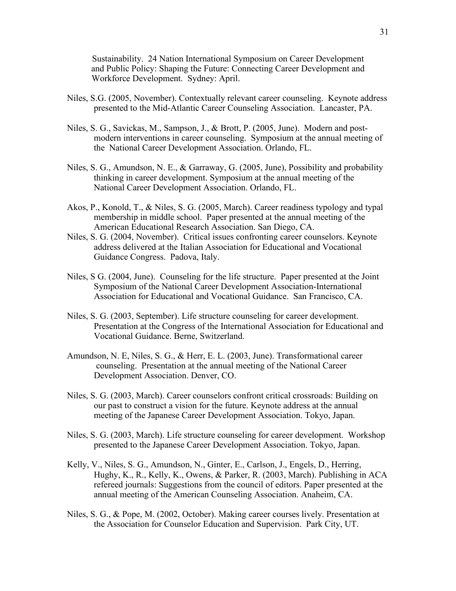Sustainability. 24 Nation International Symposium on Career Development and Public Policy: Shaping the Future: Connecting Career Development and Workforce Development. Sydney: April.

- Niles, S.G. (2005, November). Contextually relevant career counseling. Keynote address presented to the Mid-Atlantic Career Counseling Association. Lancaster, PA.
- Niles, S. G., Savickas, M., Sampson, J., & Brott, P. (2005, June). Modern and postmodern interventions in career counseling. Symposium at the annual meeting of the National Career Development Association. Orlando, FL.
- Niles, S. G., Amundson, N. E., & Garraway, G. (2005, June), Possibility and probability thinking in career development. Symposium at the annual meeting of the National Career Development Association. Orlando, FL.
- Akos, P., Konold, T., & Niles, S. G. (2005, March). Career readiness typology and typal membership in middle school. Paper presented at the annual meeting of the American Educational Research Association. San Diego, CA.
- Niles, S. G. (2004, November). Critical issues confronting career counselors. Keynote address delivered at the Italian Association for Educational and Vocational Guidance Congress. Padova, Italy.
- Niles, S G. (2004, June). Counseling for the life structure. Paper presented at the Joint Symposium of the National Career Development Association-International Association for Educational and Vocational Guidance. San Francisco, CA.
- Niles, S. G. (2003, September). Life structure counseling for career development. Presentation at the Congress of the International Association for Educational and Vocational Guidance. Berne, Switzerland.
- Amundson, N. E, Niles, S. G., & Herr, E. L. (2003, June). Transformational career counseling. Presentation at the annual meeting of the National Career Development Association. Denver, CO.
- Niles, S. G. (2003, March). Career counselors confront critical crossroads: Building on our past to construct a vision for the future. Keynote address at the annual meeting of the Japanese Career Development Association. Tokyo, Japan.
- Niles, S. G. (2003, March). Life structure counseling for career development. Workshop presented to the Japanese Career Development Association. Tokyo, Japan.
- Kelly, V., Niles, S. G., Amundson, N., Ginter, E., Carlson, J., Engels, D., Herring, Hughy, K., R., Kelly, K., Owens, & Parker, R. (2003, March). Publishing in ACA refereed journals: Suggestions from the council of editors. Paper presented at the annual meeting of the American Counseling Association. Anaheim, CA.
- Niles, S. G., & Pope, M. (2002, October). Making career courses lively. Presentation at the Association for Counselor Education and Supervision. Park City, UT.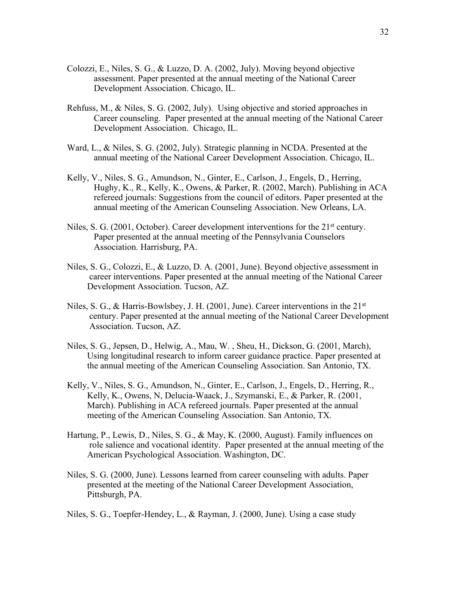- Colozzi, E., Niles, S. G., & Luzzo, D. A. (2002, July). Moving beyond objective assessment. Paper presented at the annual meeting of the National Career Development Association. Chicago, IL.
- Rehfuss, M., & Niles, S. G. (2002, July). Using objective and storied approaches in Career counseling. Paper presented at the annual meeting of the National Career Development Association. Chicago, IL.
- Ward, L., & Niles, S. G. (2002, July). Strategic planning in NCDA. Presented at the annual meeting of the National Career Development Association. Chicago, IL.
- Kelly, V., Niles, S. G., Amundson, N., Ginter, E., Carlson, J., Engels, D., Herring, Hughy, K., R., Kelly, K., Owens, & Parker, R. (2002, March). Publishing in ACA refereed journals: Suggestions from the council of editors. Paper presented at the annual meeting of the American Counseling Association. New Orleans, LA.
- Niles, S. G.  $(2001, October)$ . Career development interventions for the  $21<sup>st</sup>$  century. Paper presented at the annual meeting of the Pennsylvania Counselors Association. Harrisburg, PA.
- Niles, S. G., Colozzi, E., & Luzzo, D. A. (2001, June). Beyond objective assessment in career interventions. Paper presented at the annual meeting of the National Career Development Association. Tucson, AZ.
- Niles, S. G., & Harris-Bowlsbey, J. H. (2001, June). Career interventions in the 21<sup>st</sup> century. Paper presented at the annual meeting of the National Career Development Association. Tucson, AZ.
- Niles, S. G., Jepsen, D., Helwig, A., Mau, W. , Sheu, H., Dickson, G. (2001, March), Using longitudinal research to inform career guidance practice. Paper presented at the annual meeting of the American Counseling Association. San Antonio, TX.
- Kelly, V., Niles, S. G., Amundson, N., Ginter, E., Carlson, J., Engels, D., Herring, R., Kelly, K., Owens, N, Delucia-Waack, J., Szymanski, E., & Parker, R. (2001, March). Publishing in ACA refereed journals. Paper presented at the annual meeting of the American Counseling Association. San Antonio, TX.
- Hartung, P., Lewis, D., Niles, S. G., & May, K. (2000, August). Family influences on role salience and vocational identity. Paper presented at the annual meeting of the American Psychological Association. Washington, DC.
- Niles, S. G. (2000, June). Lessons learned from career counseling with adults. Paper presented at the meeting of the National Career Development Association, Pittsburgh, PA.

Niles, S. G., Toepfer-Hendey, L., & Rayman, J. (2000, June). Using a case study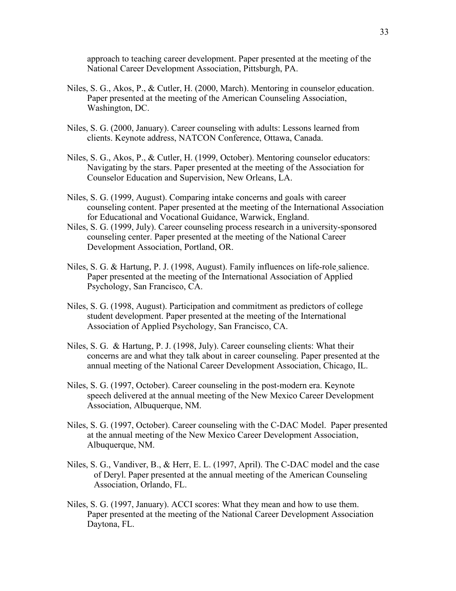approach to teaching career development. Paper presented at the meeting of the National Career Development Association, Pittsburgh, PA.

- Niles, S. G., Akos, P., & Cutler, H. (2000, March). Mentoring in counselor education. Paper presented at the meeting of the American Counseling Association, Washington, DC.
- Niles, S. G. (2000, January). Career counseling with adults: Lessons learned from clients. Keynote address, NATCON Conference, Ottawa, Canada.
- Niles, S. G., Akos, P., & Cutler, H. (1999, October). Mentoring counselor educators: Navigating by the stars. Paper presented at the meeting of the Association for Counselor Education and Supervision, New Orleans, LA.
- Niles, S. G. (1999, August). Comparing intake concerns and goals with career counseling content. Paper presented at the meeting of the International Association for Educational and Vocational Guidance, Warwick, England.
- Niles, S. G. (1999, July). Career counseling process research in a university-sponsored counseling center. Paper presented at the meeting of the National Career Development Association, Portland, OR.
- Niles, S. G. & Hartung, P. J. (1998, August). Family influences on life-role salience. Paper presented at the meeting of the International Association of Applied Psychology, San Francisco, CA.
- Niles, S. G. (1998, August). Participation and commitment as predictors of college student development. Paper presented at the meeting of the International Association of Applied Psychology, San Francisco, CA.
- Niles, S. G. & Hartung, P. J. (1998, July). Career counseling clients: What their concerns are and what they talk about in career counseling. Paper presented at the annual meeting of the National Career Development Association, Chicago, IL.
- Niles, S. G. (1997, October). Career counseling in the post-modern era. Keynote speech delivered at the annual meeting of the New Mexico Career Development Association, Albuquerque, NM.
- Niles, S. G. (1997, October). Career counseling with the C-DAC Model. Paper presented at the annual meeting of the New Mexico Career Development Association, Albuquerque, NM.
- Niles, S. G., Vandiver, B., & Herr, E. L. (1997, April). The C-DAC model and the case of Deryl. Paper presented at the annual meeting of the American Counseling Association, Orlando, FL.
- Niles, S. G. (1997, January). ACCI scores: What they mean and how to use them. Paper presented at the meeting of the National Career Development Association Daytona, FL.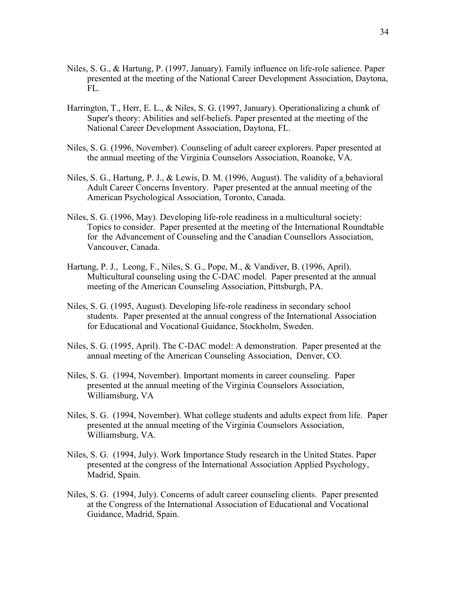- Niles, S. G., & Hartung, P. (1997, January). Family influence on life-role salience. Paper presented at the meeting of the National Career Development Association, Daytona, FL.
- Harrington, T., Herr, E. L., & Niles, S. G. (1997, January). Operationalizing a chunk of Super's theory: Abilities and self-beliefs. Paper presented at the meeting of the National Career Development Association, Daytona, FL.
- Niles, S. G. (1996, November). Counseling of adult career explorers. Paper presented at the annual meeting of the Virginia Counselors Association, Roanoke, VA.
- Niles, S. G., Hartung, P. J., & Lewis, D. M. (1996, August). The validity of a behavioral Adult Career Concerns Inventory. Paper presented at the annual meeting of the American Psychological Association, Toronto, Canada.
- Niles, S. G. (1996, May). Developing life-role readiness in a multicultural society: Topics to consider. Paper presented at the meeting of the International Roundtable for the Advancement of Counseling and the Canadian Counsellors Association, Vancouver, Canada.
- Hartung, P. J., Leong, F., Niles, S. G., Pope, M., & Vandiver, B. (1996, April). Multicultural counseling using the C-DAC model. Paper presented at the annual meeting of the American Counseling Association, Pittsburgh, PA.
- Niles, S. G. (1995, August). Developing life-role readiness in secondary school students. Paper presented at the annual congress of the International Association for Educational and Vocational Guidance, Stockholm, Sweden.
- Niles, S. G. (1995, April). The C-DAC model: A demonstration. Paper presented at the annual meeting of the American Counseling Association, Denver, CO.
- Niles, S. G. (1994, November). Important moments in career counseling. Paper presented at the annual meeting of the Virginia Counselors Association, Williamsburg, VA
- Niles, S. G. (1994, November). What college students and adults expect from life. Paper presented at the annual meeting of the Virginia Counselors Association, Williamsburg, VA.
- Niles, S. G. (1994, July). Work Importance Study research in the United States. Paper presented at the congress of the International Association Applied Psychology, Madrid, Spain.
- Niles, S. G. (1994, July). Concerns of adult career counseling clients. Paper presented at the Congress of the International Association of Educational and Vocational Guidance, Madrid, Spain.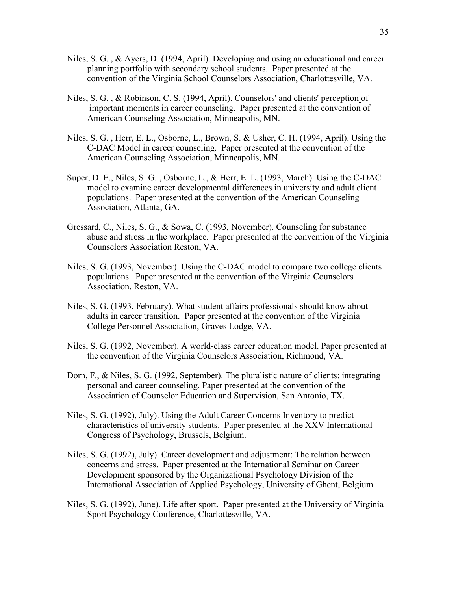- Niles, S. G. , & Ayers, D. (1994, April). Developing and using an educational and career planning portfolio with secondary school students. Paper presented at the convention of the Virginia School Counselors Association, Charlottesville, VA.
- Niles, S. G. , & Robinson, C. S. (1994, April). Counselors' and clients' perception of important moments in career counseling. Paper presented at the convention of American Counseling Association, Minneapolis, MN.
- Niles, S. G. , Herr, E. L., Osborne, L., Brown, S. & Usher, C. H. (1994, April). Using the C-DAC Model in career counseling. Paper presented at the convention of the American Counseling Association, Minneapolis, MN.
- Super, D. E., Niles, S. G. , Osborne, L., & Herr, E. L. (1993, March). Using the C-DAC model to examine career developmental differences in university and adult client populations. Paper presented at the convention of the American Counseling Association, Atlanta, GA.
- Gressard, C., Niles, S. G., & Sowa, C. (1993, November). Counseling for substance abuse and stress in the workplace. Paper presented at the convention of the Virginia Counselors Association Reston, VA.
- Niles, S. G. (1993, November). Using the C-DAC model to compare two college clients populations. Paper presented at the convention of the Virginia Counselors Association, Reston, VA.
- Niles, S. G. (1993, February). What student affairs professionals should know about adults in career transition. Paper presented at the convention of the Virginia College Personnel Association, Graves Lodge, VA.
- Niles, S. G. (1992, November). A world-class career education model. Paper presented at the convention of the Virginia Counselors Association, Richmond, VA.
- Dorn, F., & Niles, S. G. (1992, September). The pluralistic nature of clients: integrating personal and career counseling. Paper presented at the convention of the Association of Counselor Education and Supervision, San Antonio, TX.
- Niles, S. G. (1992), July). Using the Adult Career Concerns Inventory to predict characteristics of university students. Paper presented at the XXV International Congress of Psychology, Brussels, Belgium.
- Niles, S. G. (1992), July). Career development and adjustment: The relation between concerns and stress. Paper presented at the International Seminar on Career Development sponsored by the Organizational Psychology Division of the International Association of Applied Psychology, University of Ghent, Belgium.
- Niles, S. G. (1992), June). Life after sport. Paper presented at the University of Virginia Sport Psychology Conference, Charlottesville, VA.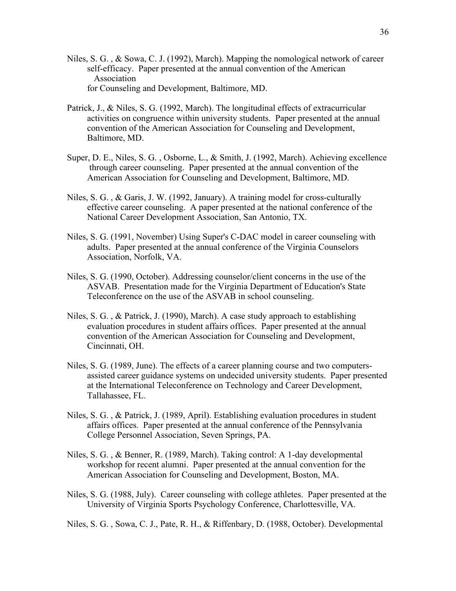- Niles, S. G. , & Sowa, C. J. (1992), March). Mapping the nomological network of career self-efficacy. Paper presented at the annual convention of the American Association for Counseling and Development, Baltimore, MD.
- Patrick, J., & Niles, S. G. (1992, March). The longitudinal effects of extracurricular activities on congruence within university students. Paper presented at the annual convention of the American Association for Counseling and Development, Baltimore, MD.
- Super, D. E., Niles, S. G. , Osborne, L., & Smith, J. (1992, March). Achieving excellence through career counseling. Paper presented at the annual convention of the American Association for Counseling and Development, Baltimore, MD.
- Niles, S. G. , & Garis, J. W. (1992, January). A training model for cross-culturally effective career counseling. A paper presented at the national conference of the National Career Development Association, San Antonio, TX.
- Niles, S. G. (1991, November) Using Super's C-DAC model in career counseling with adults. Paper presented at the annual conference of the Virginia Counselors Association, Norfolk, VA.
- Niles, S. G. (1990, October). Addressing counselor/client concerns in the use of the ASVAB. Presentation made for the Virginia Department of Education's State Teleconference on the use of the ASVAB in school counseling.
- Niles, S. G. , & Patrick, J. (1990), March). A case study approach to establishing evaluation procedures in student affairs offices. Paper presented at the annual convention of the American Association for Counseling and Development, Cincinnati, OH.
- Niles, S. G. (1989, June). The effects of a career planning course and two computersassisted career guidance systems on undecided university students. Paper presented at the International Teleconference on Technology and Career Development, Tallahassee, FL.
- Niles, S. G. , & Patrick, J. (1989, April). Establishing evaluation procedures in student affairs offices. Paper presented at the annual conference of the Pennsylvania College Personnel Association, Seven Springs, PA.
- Niles, S. G. , & Benner, R. (1989, March). Taking control: A 1-day developmental workshop for recent alumni. Paper presented at the annual convention for the American Association for Counseling and Development, Boston, MA.
- Niles, S. G. (1988, July). Career counseling with college athletes. Paper presented at the University of Virginia Sports Psychology Conference, Charlottesville, VA.
- Niles, S. G. , Sowa, C. J., Pate, R. H., & Riffenbary, D. (1988, October). Developmental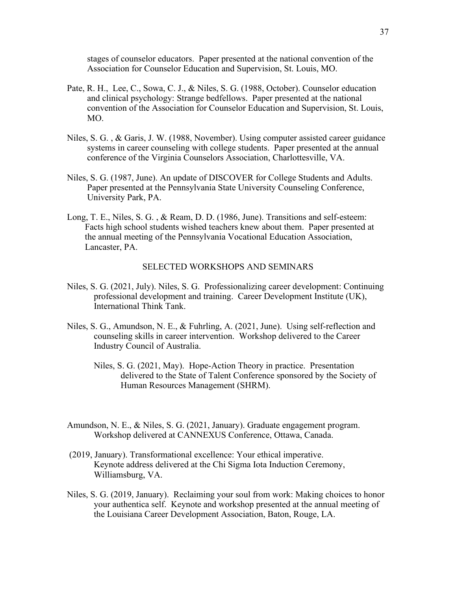stages of counselor educators. Paper presented at the national convention of the Association for Counselor Education and Supervision, St. Louis, MO.

- Pate, R. H., Lee, C., Sowa, C. J., & Niles, S. G. (1988, October). Counselor education and clinical psychology: Strange bedfellows. Paper presented at the national convention of the Association for Counselor Education and Supervision, St. Louis, MO.
- Niles, S. G. , & Garis, J. W. (1988, November). Using computer assisted career guidance systems in career counseling with college students. Paper presented at the annual conference of the Virginia Counselors Association, Charlottesville, VA.
- Niles, S. G. (1987, June). An update of DISCOVER for College Students and Adults. Paper presented at the Pennsylvania State University Counseling Conference, University Park, PA.
- Long, T. E., Niles, S. G. , & Ream, D. D. (1986, June). Transitions and self-esteem: Facts high school students wished teachers knew about them. Paper presented at the annual meeting of the Pennsylvania Vocational Education Association, Lancaster, PA.

# SELECTED WORKSHOPS AND SEMINARS

- Niles, S. G. (2021, July). Niles, S. G. Professionalizing career development: Continuing professional development and training. Career Development Institute (UK), International Think Tank.
- Niles, S. G., Amundson, N. E., & Fuhrling, A. (2021, June). Using self-reflection and counseling skills in career intervention. Workshop delivered to the Career Industry Council of Australia.
	- Niles, S. G. (2021, May). Hope-Action Theory in practice. Presentation delivered to the State of Talent Conference sponsored by the Society of Human Resources Management (SHRM).
- Amundson, N. E., & Niles, S. G. (2021, January). Graduate engagement program. Workshop delivered at CANNEXUS Conference, Ottawa, Canada.
- (2019, January). Transformational excellence: Your ethical imperative. Keynote address delivered at the Chi Sigma Iota Induction Ceremony, Williamsburg, VA.
- Niles, S. G. (2019, January). Reclaiming your soul from work: Making choices to honor your authentica self. Keynote and workshop presented at the annual meeting of the Louisiana Career Development Association, Baton, Rouge, LA.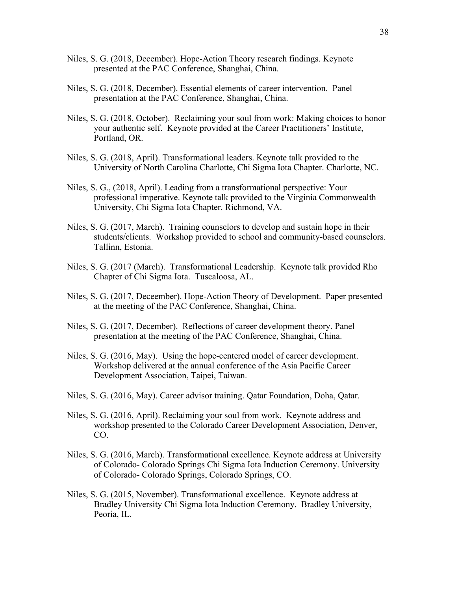- Niles, S. G. (2018, December). Hope-Action Theory research findings. Keynote presented at the PAC Conference, Shanghai, China.
- Niles, S. G. (2018, December). Essential elements of career intervention. Panel presentation at the PAC Conference, Shanghai, China.
- Niles, S. G. (2018, October). Reclaiming your soul from work: Making choices to honor your authentic self. Keynote provided at the Career Practitioners' Institute, Portland, OR.
- Niles, S. G. (2018, April). Transformational leaders. Keynote talk provided to the University of North Carolina Charlotte, Chi Sigma Iota Chapter. Charlotte, NC.
- Niles, S. G., (2018, April). Leading from a transformational perspective: Your professional imperative. Keynote talk provided to the Virginia Commonwealth University, Chi Sigma Iota Chapter. Richmond, VA.
- Niles, S. G. (2017, March). Training counselors to develop and sustain hope in their students/clients. Workshop provided to school and community-based counselors. Tallinn, Estonia.
- Niles, S. G. (2017 (March). Transformational Leadership. Keynote talk provided Rho Chapter of Chi Sigma Iota. Tuscaloosa, AL.
- Niles, S. G. (2017, Deceember). Hope-Action Theory of Development. Paper presented at the meeting of the PAC Conference, Shanghai, China.
- Niles, S. G. (2017, December). Reflections of career development theory. Panel presentation at the meeting of the PAC Conference, Shanghai, China.
- Niles, S. G. (2016, May). Using the hope-centered model of career development. Workshop delivered at the annual conference of the Asia Pacific Career Development Association, Taipei, Taiwan.
- Niles, S. G. (2016, May). Career advisor training. Qatar Foundation, Doha, Qatar.
- Niles, S. G. (2016, April). Reclaiming your soul from work. Keynote address and workshop presented to the Colorado Career Development Association, Denver, CO.
- Niles, S. G. (2016, March). Transformational excellence. Keynote address at University of Colorado- Colorado Springs Chi Sigma Iota Induction Ceremony. University of Colorado- Colorado Springs, Colorado Springs, CO.
- Niles, S. G. (2015, November). Transformational excellence. Keynote address at Bradley University Chi Sigma Iota Induction Ceremony. Bradley University, Peoria, IL.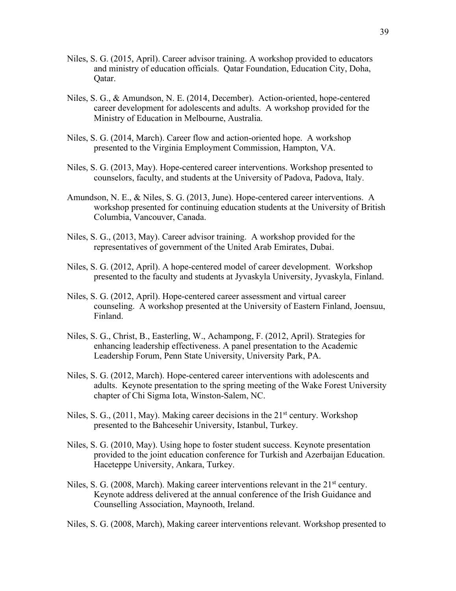- Niles, S. G. (2015, April). Career advisor training. A workshop provided to educators and ministry of education officials. Qatar Foundation, Education City, Doha, Qatar.
- Niles, S. G., & Amundson, N. E. (2014, December). Action-oriented, hope-centered career development for adolescents and adults. A workshop provided for the Ministry of Education in Melbourne, Australia.
- Niles, S. G. (2014, March). Career flow and action-oriented hope. A workshop presented to the Virginia Employment Commission, Hampton, VA.
- Niles, S. G. (2013, May). Hope-centered career interventions. Workshop presented to counselors, faculty, and students at the University of Padova, Padova, Italy.
- Amundson, N. E., & Niles, S. G. (2013, June). Hope-centered career interventions. A workshop presented for continuing education students at the University of British Columbia, Vancouver, Canada.
- Niles, S. G., (2013, May). Career advisor training. A workshop provided for the representatives of government of the United Arab Emirates, Dubai.
- Niles, S. G. (2012, April). A hope-centered model of career development. Workshop presented to the faculty and students at Jyvaskyla University, Jyvaskyla, Finland.
- Niles, S. G. (2012, April). Hope-centered career assessment and virtual career counseling. A workshop presented at the University of Eastern Finland, Joensuu, Finland.
- Niles, S. G., Christ, B., Easterling, W., Achampong, F. (2012, April). Strategies for enhancing leadership effectiveness. A panel presentation to the Academic Leadership Forum, Penn State University, University Park, PA.
- Niles, S. G. (2012, March). Hope-centered career interventions with adolescents and adults. Keynote presentation to the spring meeting of the Wake Forest University chapter of Chi Sigma Iota, Winston-Salem, NC.
- Niles, S. G.,  $(2011, May)$ . Making career decisions in the  $21<sup>st</sup>$  century. Workshop presented to the Bahcesehir University, Istanbul, Turkey.
- Niles, S. G. (2010, May). Using hope to foster student success. Keynote presentation provided to the joint education conference for Turkish and Azerbaijan Education. Haceteppe University, Ankara, Turkey.
- Niles, S. G. (2008, March). Making career interventions relevant in the  $21<sup>st</sup>$  century. Keynote address delivered at the annual conference of the Irish Guidance and Counselling Association, Maynooth, Ireland.

Niles, S. G. (2008, March), Making career interventions relevant. Workshop presented to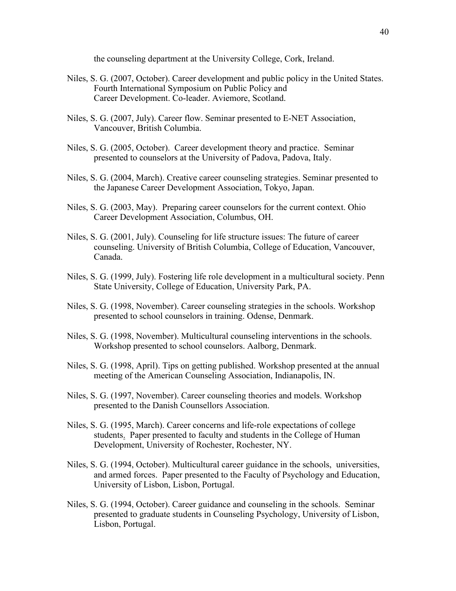the counseling department at the University College, Cork, Ireland.

- Niles, S. G. (2007, October). Career development and public policy in the United States. Fourth International Symposium on Public Policy and Career Development. Co-leader. Aviemore, Scotland.
- Niles, S. G. (2007, July). Career flow. Seminar presented to E-NET Association, Vancouver, British Columbia.
- Niles, S. G. (2005, October). Career development theory and practice. Seminar presented to counselors at the University of Padova, Padova, Italy.
- Niles, S. G. (2004, March). Creative career counseling strategies. Seminar presented to the Japanese Career Development Association, Tokyo, Japan.
- Niles, S. G. (2003, May). Preparing career counselors for the current context. Ohio Career Development Association, Columbus, OH.
- Niles, S. G. (2001, July). Counseling for life structure issues: The future of career counseling. University of British Columbia, College of Education, Vancouver, Canada.
- Niles, S. G. (1999, July). Fostering life role development in a multicultural society. Penn State University, College of Education, University Park, PA.
- Niles, S. G. (1998, November). Career counseling strategies in the schools. Workshop presented to school counselors in training. Odense, Denmark.
- Niles, S. G. (1998, November). Multicultural counseling interventions in the schools. Workshop presented to school counselors. Aalborg, Denmark.
- Niles, S. G. (1998, April). Tips on getting published. Workshop presented at the annual meeting of the American Counseling Association, Indianapolis, IN.
- Niles, S. G. (1997, November). Career counseling theories and models. Workshop presented to the Danish Counsellors Association.
- Niles, S. G. (1995, March). Career concerns and life-role expectations of college students. Paper presented to faculty and students in the College of Human Development, University of Rochester, Rochester, NY.
- Niles, S. G. (1994, October). Multicultural career guidance in the schools, universities, and armed forces. Paper presented to the Faculty of Psychology and Education, University of Lisbon, Lisbon, Portugal.
- Niles, S. G. (1994, October). Career guidance and counseling in the schools. Seminar presented to graduate students in Counseling Psychology, University of Lisbon, Lisbon, Portugal.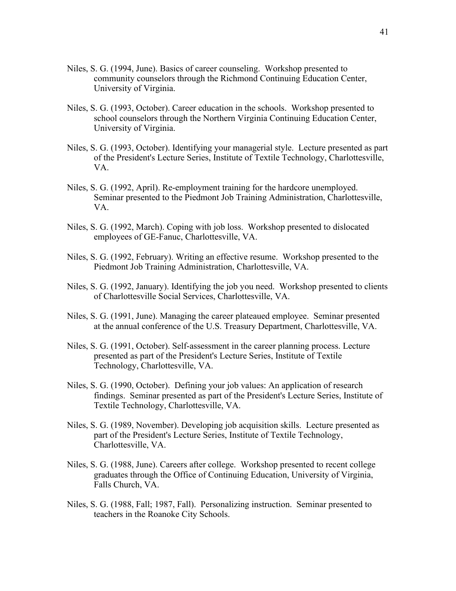- Niles, S. G. (1994, June). Basics of career counseling. Workshop presented to community counselors through the Richmond Continuing Education Center, University of Virginia.
- Niles, S. G. (1993, October). Career education in the schools. Workshop presented to school counselors through the Northern Virginia Continuing Education Center, University of Virginia.
- Niles, S. G. (1993, October). Identifying your managerial style. Lecture presented as part of the President's Lecture Series, Institute of Textile Technology, Charlottesville, VA.
- Niles, S. G. (1992, April). Re-employment training for the hardcore unemployed. Seminar presented to the Piedmont Job Training Administration, Charlottesville, VA.
- Niles, S. G. (1992, March). Coping with job loss. Workshop presented to dislocated employees of GE-Fanuc, Charlottesville, VA.
- Niles, S. G. (1992, February). Writing an effective resume. Workshop presented to the Piedmont Job Training Administration, Charlottesville, VA.
- Niles, S. G. (1992, January). Identifying the job you need. Workshop presented to clients of Charlottesville Social Services, Charlottesville, VA.
- Niles, S. G. (1991, June). Managing the career plateaued employee. Seminar presented at the annual conference of the U.S. Treasury Department, Charlottesville, VA.
- Niles, S. G. (1991, October). Self-assessment in the career planning process. Lecture presented as part of the President's Lecture Series, Institute of Textile Technology, Charlottesville, VA.
- Niles, S. G. (1990, October). Defining your job values: An application of research findings. Seminar presented as part of the President's Lecture Series, Institute of Textile Technology, Charlottesville, VA.
- Niles, S. G. (1989, November). Developing job acquisition skills. Lecture presented as part of the President's Lecture Series, Institute of Textile Technology, Charlottesville, VA.
- Niles, S. G. (1988, June). Careers after college. Workshop presented to recent college graduates through the Office of Continuing Education, University of Virginia, Falls Church, VA.
- Niles, S. G. (1988, Fall; 1987, Fall). Personalizing instruction. Seminar presented to teachers in the Roanoke City Schools.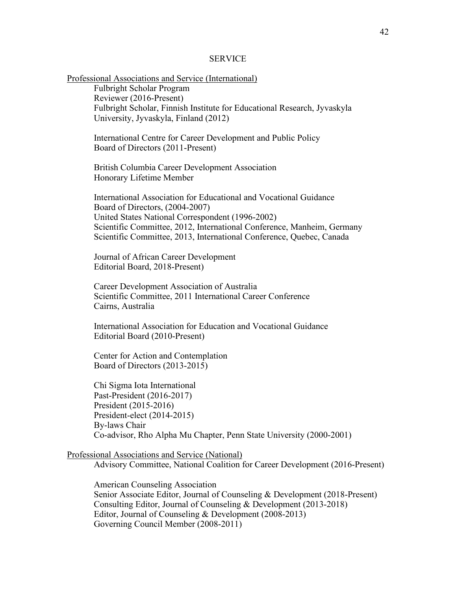#### **SERVICE**

Professional Associations and Service (International) Fulbright Scholar Program Reviewer (2016-Present) Fulbright Scholar, Finnish Institute for Educational Research, Jyvaskyla University, Jyvaskyla, Finland (2012)

International Centre for Career Development and Public Policy Board of Directors (2011-Present)

British Columbia Career Development Association Honorary Lifetime Member

International Association for Educational and Vocational Guidance Board of Directors, (2004-2007) United States National Correspondent (1996-2002) Scientific Committee, 2012, International Conference, Manheim, Germany Scientific Committee, 2013, International Conference, Quebec, Canada

Journal of African Career Development Editorial Board, 2018-Present)

Career Development Association of Australia Scientific Committee, 2011 International Career Conference Cairns, Australia

International Association for Education and Vocational Guidance Editorial Board (2010-Present)

Center for Action and Contemplation Board of Directors (2013-2015)

Chi Sigma Iota International Past-President (2016-2017) President (2015-2016) President-elect (2014-2015) By-laws Chair Co-advisor, Rho Alpha Mu Chapter, Penn State University (2000-2001)

Professional Associations and Service (National)

Advisory Committee, National Coalition for Career Development (2016-Present)

American Counseling Association Senior Associate Editor, Journal of Counseling & Development (2018-Present) Consulting Editor, Journal of Counseling & Development (2013-2018) Editor, Journal of Counseling & Development (2008-2013) Governing Council Member (2008-2011)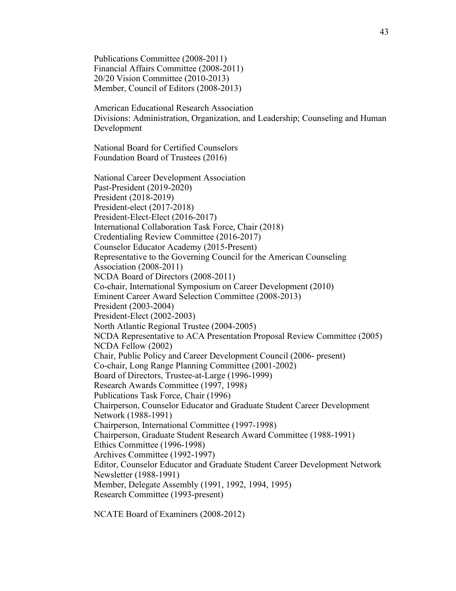Publications Committee (2008-2011) Financial Affairs Committee (2008-2011) 20/20 Vision Committee (2010-2013) Member, Council of Editors (2008-2013)

American Educational Research Association Divisions: Administration, Organization, and Leadership; Counseling and Human Development

National Board for Certified Counselors Foundation Board of Trustees (2016)

National Career Development Association Past-President (2019-2020) President (2018-2019) President-elect (2017-2018) President-Elect-Elect (2016-2017) International Collaboration Task Force, Chair (2018) Credentialing Review Committee (2016-2017) Counselor Educator Academy (2015-Present) Representative to the Governing Council for the American Counseling Association (2008-2011) NCDA Board of Directors (2008-2011) Co-chair, International Symposium on Career Development (2010) Eminent Career Award Selection Committee (2008-2013) President (2003-2004) President-Elect (2002-2003) North Atlantic Regional Trustee (2004-2005) NCDA Representative to ACA Presentation Proposal Review Committee (2005) NCDA Fellow (2002) Chair, Public Policy and Career Development Council (2006- present) Co-chair, Long Range Planning Committee (2001-2002) Board of Directors, Trustee-at-Large (1996-1999) Research Awards Committee (1997, 1998) Publications Task Force, Chair (1996) Chairperson, Counselor Educator and Graduate Student Career Development Network (1988-1991) Chairperson, International Committee (1997-1998) Chairperson, Graduate Student Research Award Committee (1988-1991) Ethics Committee (1996-1998) Archives Committee (1992-1997) Editor, Counselor Educator and Graduate Student Career Development Network Newsletter (1988-1991) Member, Delegate Assembly (1991, 1992, 1994, 1995) Research Committee (1993-present)

NCATE Board of Examiners (2008-2012)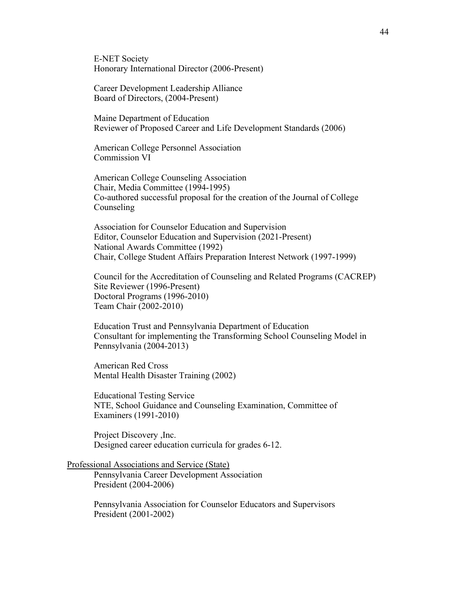E-NET Society Honorary International Director (2006-Present)

Career Development Leadership Alliance Board of Directors, (2004-Present)

Maine Department of Education Reviewer of Proposed Career and Life Development Standards (2006)

American College Personnel Association Commission VI

American College Counseling Association Chair, Media Committee (1994-1995) Co-authored successful proposal for the creation of the Journal of College Counseling

Association for Counselor Education and Supervision Editor, Counselor Education and Supervision (2021-Present) National Awards Committee (1992) Chair, College Student Affairs Preparation Interest Network (1997-1999)

Council for the Accreditation of Counseling and Related Programs (CACREP) Site Reviewer (1996-Present) Doctoral Programs (1996-2010) Team Chair (2002-2010)

Education Trust and Pennsylvania Department of Education Consultant for implementing the Transforming School Counseling Model in Pennsylvania (2004-2013)

American Red Cross Mental Health Disaster Training (2002)

Educational Testing Service NTE, School Guidance and Counseling Examination, Committee of Examiners (1991-2010)

Project Discovery ,Inc. Designed career education curricula for grades 6-12.

Professional Associations and Service (State)

Pennsylvania Career Development Association President (2004-2006)

Pennsylvania Association for Counselor Educators and Supervisors President (2001-2002)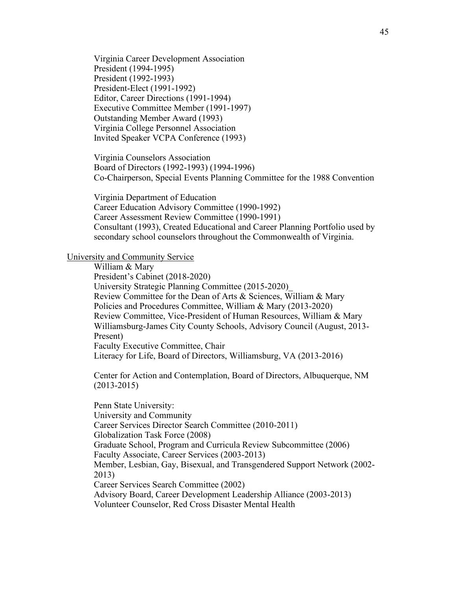Virginia Career Development Association President (1994-1995) President (1992-1993) President-Elect (1991-1992) Editor, Career Directions (1991-1994) Executive Committee Member (1991-1997) Outstanding Member Award (1993) Virginia College Personnel Association Invited Speaker VCPA Conference (1993)

Virginia Counselors Association Board of Directors (1992-1993) (1994-1996) Co-Chairperson, Special Events Planning Committee for the 1988 Convention

Virginia Department of Education Career Education Advisory Committee (1990-1992) Career Assessment Review Committee (1990-1991) Consultant (1993), Created Educational and Career Planning Portfolio used by secondary school counselors throughout the Commonwealth of Virginia.

#### University and Community Service

William & Mary President's Cabinet (2018-2020) University Strategic Planning Committee (2015-2020)\_ Review Committee for the Dean of Arts & Sciences, William & Mary Policies and Procedures Committee, William & Mary (2013-2020) Review Committee, Vice-President of Human Resources, William & Mary Williamsburg-James City County Schools, Advisory Council (August, 2013- Present) Faculty Executive Committee, Chair Literacy for Life, Board of Directors, Williamsburg, VA (2013-2016)

Center for Action and Contemplation, Board of Directors, Albuquerque, NM (2013-2015)

Penn State University: University and Community Career Services Director Search Committee (2010-2011) Globalization Task Force (2008) Graduate School, Program and Curricula Review Subcommittee (2006) Faculty Associate, Career Services (2003-2013) Member, Lesbian, Gay, Bisexual, and Transgendered Support Network (2002- 2013) Career Services Search Committee (2002) Advisory Board, Career Development Leadership Alliance (2003-2013) Volunteer Counselor, Red Cross Disaster Mental Health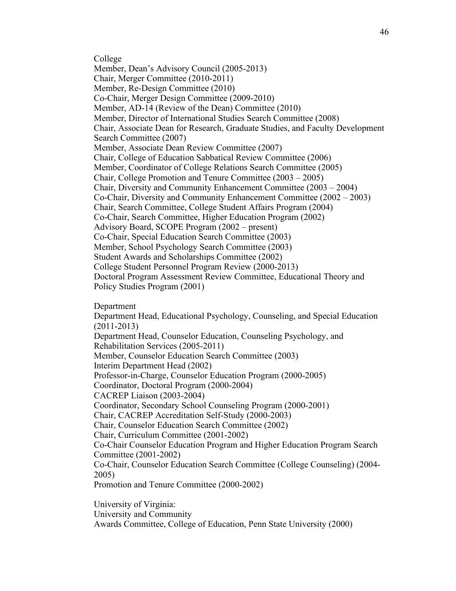College Member, Dean's Advisory Council (2005-2013) Chair, Merger Committee (2010-2011) Member, Re-Design Committee (2010) Co-Chair, Merger Design Committee (2009-2010) Member, AD-14 (Review of the Dean) Committee (2010) Member, Director of International Studies Search Committee (2008) Chair, Associate Dean for Research, Graduate Studies, and Faculty Development Search Committee (2007) Member, Associate Dean Review Committee (2007) Chair, College of Education Sabbatical Review Committee (2006) Member, Coordinator of College Relations Search Committee (2005) Chair, College Promotion and Tenure Committee (2003 – 2005) Chair, Diversity and Community Enhancement Committee (2003 – 2004) Co-Chair, Diversity and Community Enhancement Committee (2002 – 2003) Chair, Search Committee, College Student Affairs Program (2004) Co-Chair, Search Committee, Higher Education Program (2002) Advisory Board, SCOPE Program (2002 – present) Co-Chair, Special Education Search Committee (2003) Member, School Psychology Search Committee (2003) Student Awards and Scholarships Committee (2002) College Student Personnel Program Review (2000-2013) Doctoral Program Assessment Review Committee, Educational Theory and Policy Studies Program (2001)

Department

Department Head, Educational Psychology, Counseling, and Special Education (2011-2013) Department Head, Counselor Education, Counseling Psychology, and Rehabilitation Services (2005-2011) Member, Counselor Education Search Committee (2003) Interim Department Head (2002) Professor-in-Charge, Counselor Education Program (2000-2005) Coordinator, Doctoral Program (2000-2004) CACREP Liaison (2003-2004) Coordinator, Secondary School Counseling Program (2000-2001) Chair, CACREP Accreditation Self-Study (2000-2003) Chair, Counselor Education Search Committee (2002) Chair, Curriculum Committee (2001-2002) Co-Chair Counselor Education Program and Higher Education Program Search Committee (2001-2002) Co-Chair, Counselor Education Search Committee (College Counseling) (2004- 2005) Promotion and Tenure Committee (2000-2002)

University of Virginia: University and Community Awards Committee, College of Education, Penn State University (2000)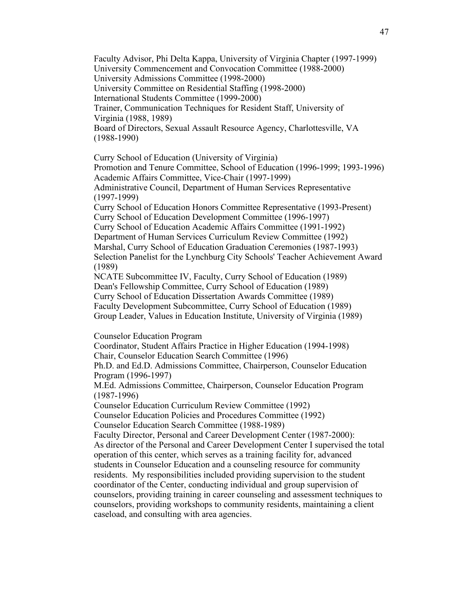Faculty Advisor, Phi Delta Kappa, University of Virginia Chapter (1997-1999) University Commencement and Convocation Committee (1988-2000) University Admissions Committee (1998-2000) University Committee on Residential Staffing (1998-2000) International Students Committee (1999-2000) Trainer, Communication Techniques for Resident Staff, University of Virginia (1988, 1989) Board of Directors, Sexual Assault Resource Agency, Charlottesville, VA (1988-1990)

Curry School of Education (University of Virginia) Promotion and Tenure Committee, School of Education (1996-1999; 1993-1996) Academic Affairs Committee, Vice-Chair (1997-1999) Administrative Council, Department of Human Services Representative (1997-1999) Curry School of Education Honors Committee Representative (1993-Present) Curry School of Education Development Committee (1996-1997) Curry School of Education Academic Affairs Committee (1991-1992) Department of Human Services Curriculum Review Committee (1992) Marshal, Curry School of Education Graduation Ceremonies (1987-1993) Selection Panelist for the Lynchburg City Schools' Teacher Achievement Award (1989) NCATE Subcommittee IV, Faculty, Curry School of Education (1989) Dean's Fellowship Committee, Curry School of Education (1989) Curry School of Education Dissertation Awards Committee (1989) Faculty Development Subcommittee, Curry School of Education (1989) Group Leader, Values in Education Institute, University of Virginia (1989) Counselor Education Program Coordinator, Student Affairs Practice in Higher Education (1994-1998) Chair, Counselor Education Search Committee (1996) Ph.D. and Ed.D. Admissions Committee, Chairperson, Counselor Education Program (1996-1997)

M.Ed. Admissions Committee, Chairperson, Counselor Education Program (1987-1996)

Counselor Education Curriculum Review Committee (1992) Counselor Education Policies and Procedures Committee (1992) Counselor Education Search Committee (1988-1989)

Faculty Director, Personal and Career Development Center (1987-2000): As director of the Personal and Career Development Center I supervised the total operation of this center, which serves as a training facility for, advanced students in Counselor Education and a counseling resource for community residents. My responsibilities included providing supervision to the student coordinator of the Center, conducting individual and group supervision of counselors, providing training in career counseling and assessment techniques to counselors, providing workshops to community residents, maintaining a client caseload, and consulting with area agencies.